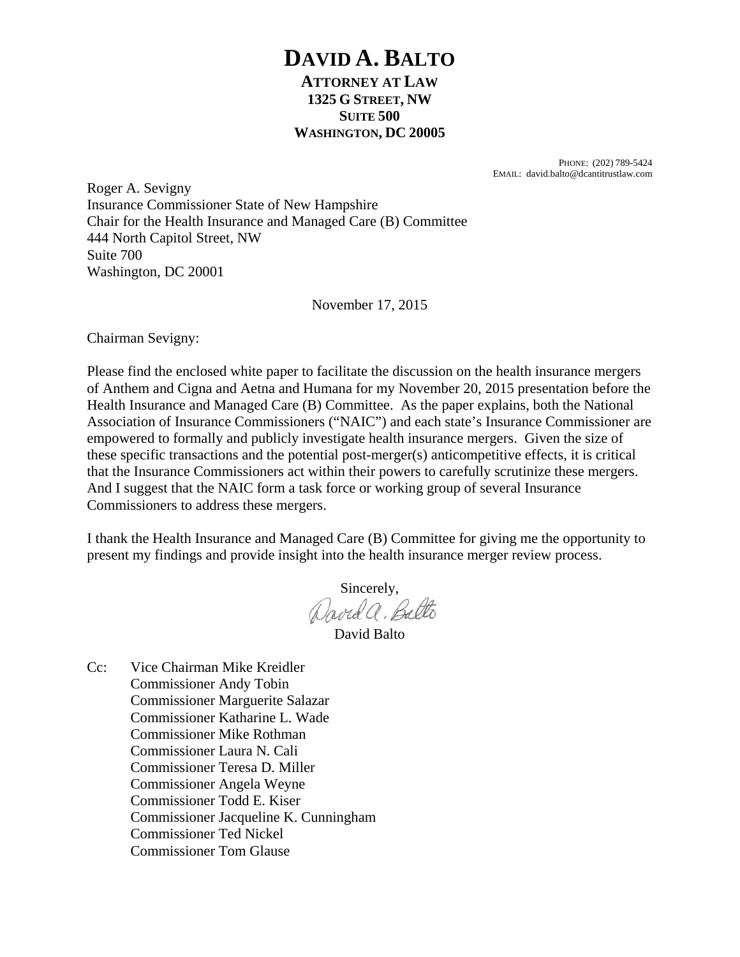# **DAVID A. BALTO ATTORNEY AT LAW 1325 G STREET, NW SUITE 500 WASHINGTON, DC 20005**

PHONE: (202) 789-5424 EMAIL: david.balto@dcantitrustlaw.com

Roger A. Sevigny Insurance Commissioner State of New Hampshire Chair for the Health Insurance and Managed Care (B) Committee 444 North Capitol Street, NW Suite 700 Washington, DC 20001

November 17, 2015

Chairman Sevigny:

Please find the enclosed white paper to facilitate the discussion on the health insurance mergers of Anthem and Cigna and Aetna and Humana for my November 20, 2015 presentation before the Health Insurance and Managed Care (B) Committee. As the paper explains, both the National Association of Insurance Commissioners ("NAIC") and each state's Insurance Commissioner are empowered to formally and publicly investigate health insurance mergers. Given the size of these specific transactions and the potential post-merger(s) anticompetitive effects, it is critical that the Insurance Commissioners act within their powers to carefully scrutinize these mergers. And I suggest that the NAIC form a task force or working group of several Insurance Commissioners to address these mergers.

I thank the Health Insurance and Managed Care (B) Committee for giving me the opportunity to present my findings and provide insight into the health insurance merger review process.

Sincerely,<br>David a. Balto

David Balto

Cc: Vice Chairman Mike Kreidler Commissioner Andy Tobin Commissioner Marguerite Salazar Commissioner Katharine L. Wade Commissioner Mike Rothman Commissioner Laura N. Cali Commissioner Teresa D. Miller Commissioner Angela Weyne Commissioner Todd E. Kiser Commissioner Jacqueline K. Cunningham Commissioner Ted Nickel Commissioner Tom Glause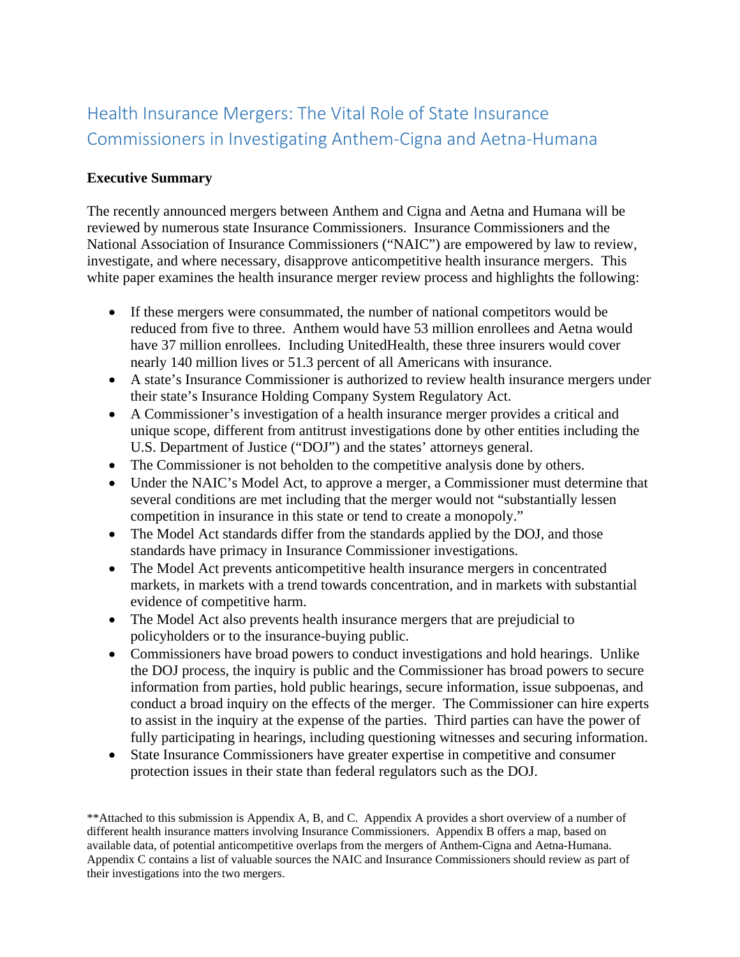# Health Insurance Mergers: The Vital Role of State Insurance Commissioners in Investigating Anthem-Cigna and Aetna-Humana

### **Executive Summary**

The recently announced mergers between Anthem and Cigna and Aetna and Humana will be reviewed by numerous state Insurance Commissioners. Insurance Commissioners and the National Association of Insurance Commissioners ("NAIC") are empowered by law to review, investigate, and where necessary, disapprove anticompetitive health insurance mergers. This white paper examines the health insurance merger review process and highlights the following:

- If these mergers were consummated, the number of national competitors would be reduced from five to three. Anthem would have 53 million enrollees and Aetna would have 37 million enrollees. Including UnitedHealth, these three insurers would cover nearly 140 million lives or 51.3 percent of all Americans with insurance.
- A state's Insurance Commissioner is authorized to review health insurance mergers under their state's Insurance Holding Company System Regulatory Act.
- A Commissioner's investigation of a health insurance merger provides a critical and unique scope, different from antitrust investigations done by other entities including the U.S. Department of Justice ("DOJ") and the states' attorneys general.
- The Commissioner is not beholden to the competitive analysis done by others.
- Under the NAIC's Model Act, to approve a merger, a Commissioner must determine that several conditions are met including that the merger would not "substantially lessen competition in insurance in this state or tend to create a monopoly."
- The Model Act standards differ from the standards applied by the DOJ, and those standards have primacy in Insurance Commissioner investigations.
- The Model Act prevents anticompetitive health insurance mergers in concentrated markets, in markets with a trend towards concentration, and in markets with substantial evidence of competitive harm.
- The Model Act also prevents health insurance mergers that are prejudicial to policyholders or to the insurance-buying public.
- Commissioners have broad powers to conduct investigations and hold hearings. Unlike the DOJ process, the inquiry is public and the Commissioner has broad powers to secure information from parties, hold public hearings, secure information, issue subpoenas, and conduct a broad inquiry on the effects of the merger. The Commissioner can hire experts to assist in the inquiry at the expense of the parties. Third parties can have the power of fully participating in hearings, including questioning witnesses and securing information.
- State Insurance Commissioners have greater expertise in competitive and consumer protection issues in their state than federal regulators such as the DOJ.

<sup>\*\*</sup>Attached to this submission is Appendix A, B, and C. Appendix A provides a short overview of a number of different health insurance matters involving Insurance Commissioners. Appendix B offers a map, based on available data, of potential anticompetitive overlaps from the mergers of Anthem-Cigna and Aetna-Humana. Appendix C contains a list of valuable sources the NAIC and Insurance Commissioners should review as part of their investigations into the two mergers.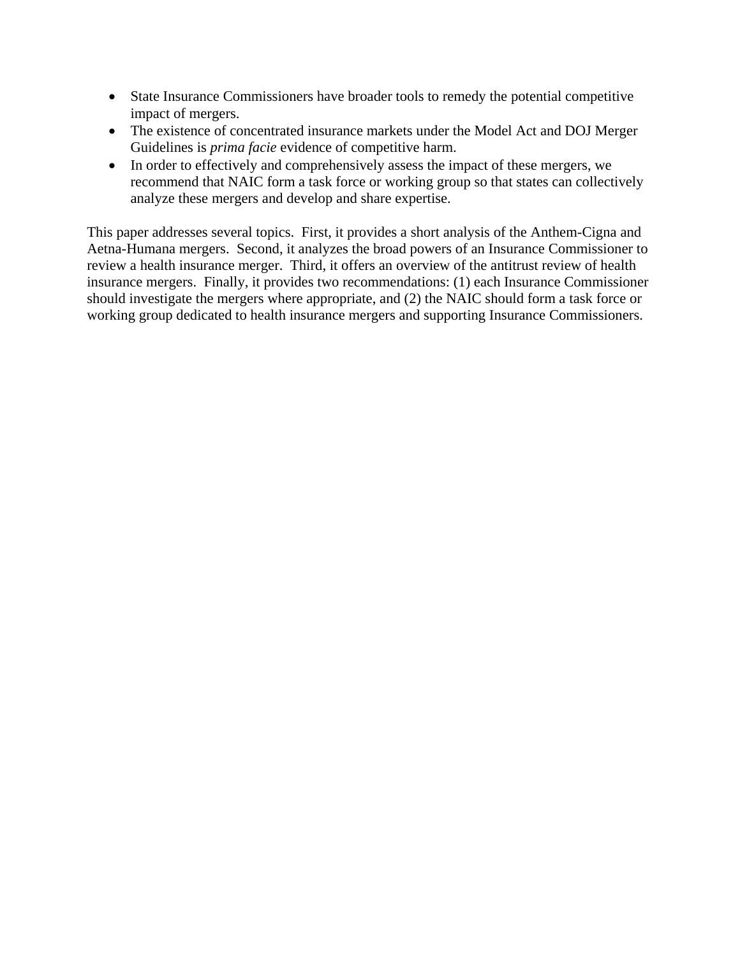- State Insurance Commissioners have broader tools to remedy the potential competitive impact of mergers.
- The existence of concentrated insurance markets under the Model Act and DOJ Merger Guidelines is *prima facie* evidence of competitive harm.
- In order to effectively and comprehensively assess the impact of these mergers, we recommend that NAIC form a task force or working group so that states can collectively analyze these mergers and develop and share expertise.

This paper addresses several topics. First, it provides a short analysis of the Anthem-Cigna and Aetna-Humana mergers. Second, it analyzes the broad powers of an Insurance Commissioner to review a health insurance merger. Third, it offers an overview of the antitrust review of health insurance mergers. Finally, it provides two recommendations: (1) each Insurance Commissioner should investigate the mergers where appropriate, and (2) the NAIC should form a task force or working group dedicated to health insurance mergers and supporting Insurance Commissioners.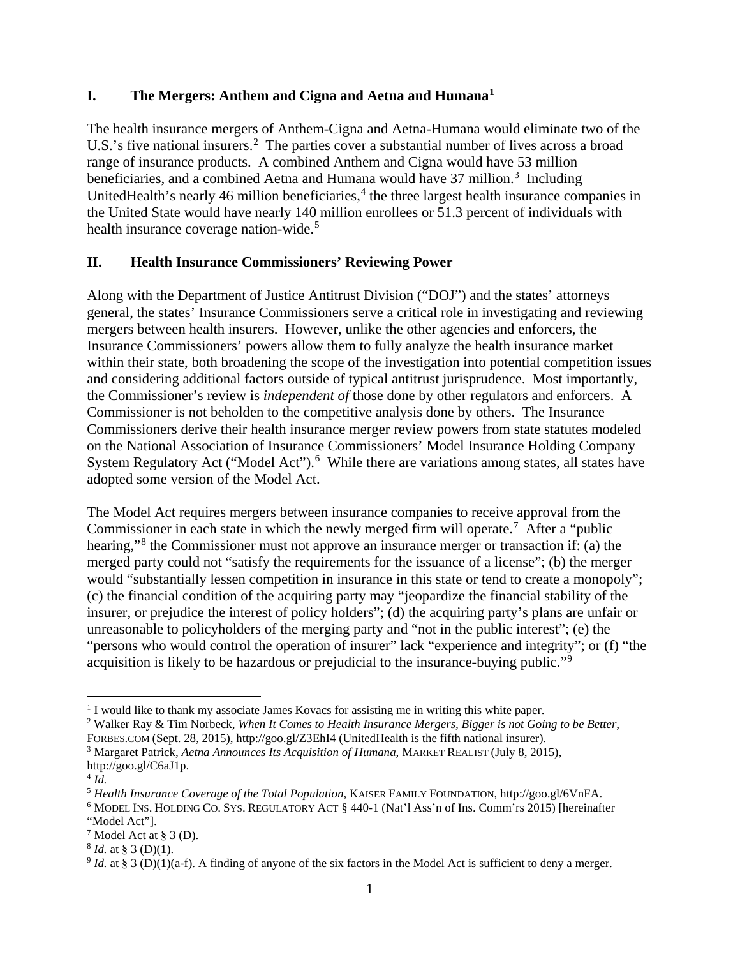#### **I. The Mergers: Anthem and Cigna and Aetna and Humana[1](#page-3-0)**

The health insurance mergers of Anthem-Cigna and Aetna-Humana would eliminate two of the U.S.'s five national insurers.<sup>[2](#page-3-1)</sup> The parties cover a substantial number of lives across a broad range of insurance products. A combined Anthem and Cigna would have 53 million beneficiaries, and a combined Aetna and Humana would have [3](#page-3-2)7 million.<sup>3</sup> Including UnitedHealth's nearly [4](#page-3-3)6 million beneficiaries, $4$  the three largest health insurance companies in the United State would have nearly 140 million enrollees or 51.3 percent of individuals with health insurance coverage nation-wide.<sup>[5](#page-3-4)</sup>

#### **II. Health Insurance Commissioners' Reviewing Power**

Along with the Department of Justice Antitrust Division ("DOJ") and the states' attorneys general, the states' Insurance Commissioners serve a critical role in investigating and reviewing mergers between health insurers. However, unlike the other agencies and enforcers, the Insurance Commissioners' powers allow them to fully analyze the health insurance market within their state, both broadening the scope of the investigation into potential competition issues and considering additional factors outside of typical antitrust jurisprudence. Most importantly, the Commissioner's review is *independent of* those done by other regulators and enforcers. A Commissioner is not beholden to the competitive analysis done by others. The Insurance Commissioners derive their health insurance merger review powers from state statutes modeled on the National Association of Insurance Commissioners' Model Insurance Holding Company System Regulatory Act ("Model Act").<sup>[6](#page-3-5)</sup> While there are variations among states, all states have adopted some version of the Model Act.

The Model Act requires mergers between insurance companies to receive approval from the Commissioner in each state in which the newly merged firm will operate.<sup>[7](#page-3-6)</sup> After a "public hearing,"[8](#page-3-7) the Commissioner must not approve an insurance merger or transaction if: (a) the merged party could not "satisfy the requirements for the issuance of a license"; (b) the merger would "substantially lessen competition in insurance in this state or tend to create a monopoly"; (c) the financial condition of the acquiring party may "jeopardize the financial stability of the insurer, or prejudice the interest of policy holders"; (d) the acquiring party's plans are unfair or unreasonable to policyholders of the merging party and "not in the public interest"; (e) the "persons who would control the operation of insurer" lack "experience and integrity"; or (f) "the acquisition is likely to be hazardous or prejudicial to the insurance-buying public."<sup>[9](#page-3-8)</sup>

<span id="page-3-0"></span><sup>1</sup> I would like to thank my associate James Kovacs for assisting me in writing this white paper. 2 Walker Ray & Tim Norbeck, *When It Comes to Health Insurance Mergers, Bigger is not Going to be Better*,

<span id="page-3-1"></span>

FORBES.COM (Sept. 28, 2015), http://goo.gl/Z3EhI4 (UnitedHealth is the fifth national insurer).

<span id="page-3-2"></span><sup>3</sup> Margaret Patrick, *Aetna Announces Its Acquisition of Humana*, MARKET REALIST (July 8, 2015), http://goo.gl/C6aJ1p.

<span id="page-3-3"></span> $^{4}$  *Id.* 

<span id="page-3-4"></span><sup>5</sup> *Health Insurance Coverage of the Total Population*, KAISER FAMILY FOUNDATION, http://goo.gl/6VnFA.

<span id="page-3-5"></span><sup>6</sup> MODEL INS. HOLDING CO. SYS. REGULATORY ACT § 440-1 (Nat'l Ass'n of Ins. Comm'rs 2015) [hereinafter "Model Act"].

<span id="page-3-6"></span><sup>7</sup> Model Act at § 3 (D). 8 *Id.* at § 3 (D)(1).

<span id="page-3-7"></span>

<span id="page-3-8"></span><sup>&</sup>lt;sup>9</sup> *Id.* at § 3 (D)(1)(a-f). A finding of anyone of the six factors in the Model Act is sufficient to deny a merger.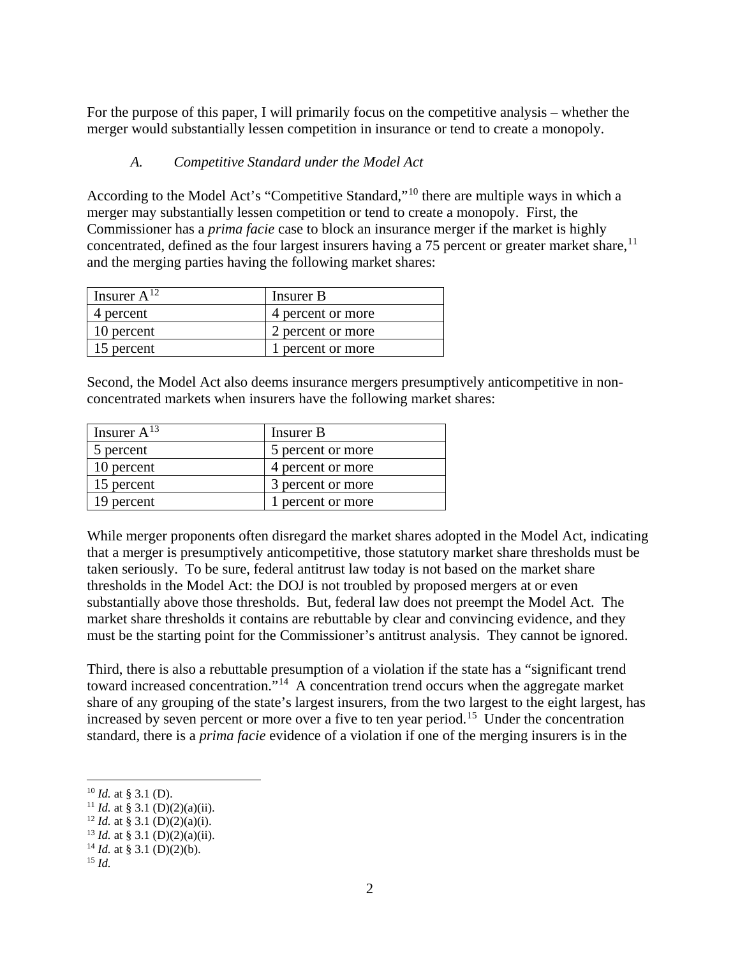For the purpose of this paper, I will primarily focus on the competitive analysis – whether the merger would substantially lessen competition in insurance or tend to create a monopoly.

#### *A. Competitive Standard under the Model Act*

According to the Model Act's "Competitive Standard,"[10](#page-4-0) there are multiple ways in which a merger may substantially lessen competition or tend to create a monopoly. First, the Commissioner has a *prima facie* case to block an insurance merger if the market is highly concentrated, defined as the four largest insurers having a 75 percent or greater market share,  $11$ and the merging parties having the following market shares:

| Insurer $A^{12}$ | Insurer B         |
|------------------|-------------------|
| 4 percent        | 4 percent or more |
| 10 percent       | 2 percent or more |
| 15 percent       | 1 percent or more |

Second, the Model Act also deems insurance mergers presumptively anticompetitive in nonconcentrated markets when insurers have the following market shares:

| Insurer $A^{13}$ | Insurer B         |
|------------------|-------------------|
| 5 percent        | 5 percent or more |
| 10 percent       | 4 percent or more |
| 15 percent       | 3 percent or more |
| 19 percent       | 1 percent or more |

While merger proponents often disregard the market shares adopted in the Model Act, indicating that a merger is presumptively anticompetitive, those statutory market share thresholds must be taken seriously. To be sure, federal antitrust law today is not based on the market share thresholds in the Model Act: the DOJ is not troubled by proposed mergers at or even substantially above those thresholds. But, federal law does not preempt the Model Act. The market share thresholds it contains are rebuttable by clear and convincing evidence, and they must be the starting point for the Commissioner's antitrust analysis. They cannot be ignored.

Third, there is also a rebuttable presumption of a violation if the state has a "significant trend toward increased concentration."[14](#page-4-4) A concentration trend occurs when the aggregate market share of any grouping of the state's largest insurers, from the two largest to the eight largest, has increased by seven percent or more over a five to ten year period.<sup>15</sup> Under the concentration standard, there is a *prima facie* evidence of a violation if one of the merging insurers is in the

<span id="page-4-1"></span><span id="page-4-0"></span><sup>&</sup>lt;sup>10</sup> *Id.* at § 3.1 (D).<br><sup>11</sup> *Id.* at § 3.1 (D)(2)(a)(ii).

<span id="page-4-2"></span><sup>&</sup>lt;sup>12</sup> *Id.* at § 3.1 (D)(2)(a)(i).

<span id="page-4-3"></span> $13$  *Id.* at § 3.1 (D)(2)(a)(ii).

<span id="page-4-4"></span><sup>&</sup>lt;sup>14</sup> *Id.* at § 3.1 (D)(2)(b).

<span id="page-4-5"></span><sup>15</sup> *Id.*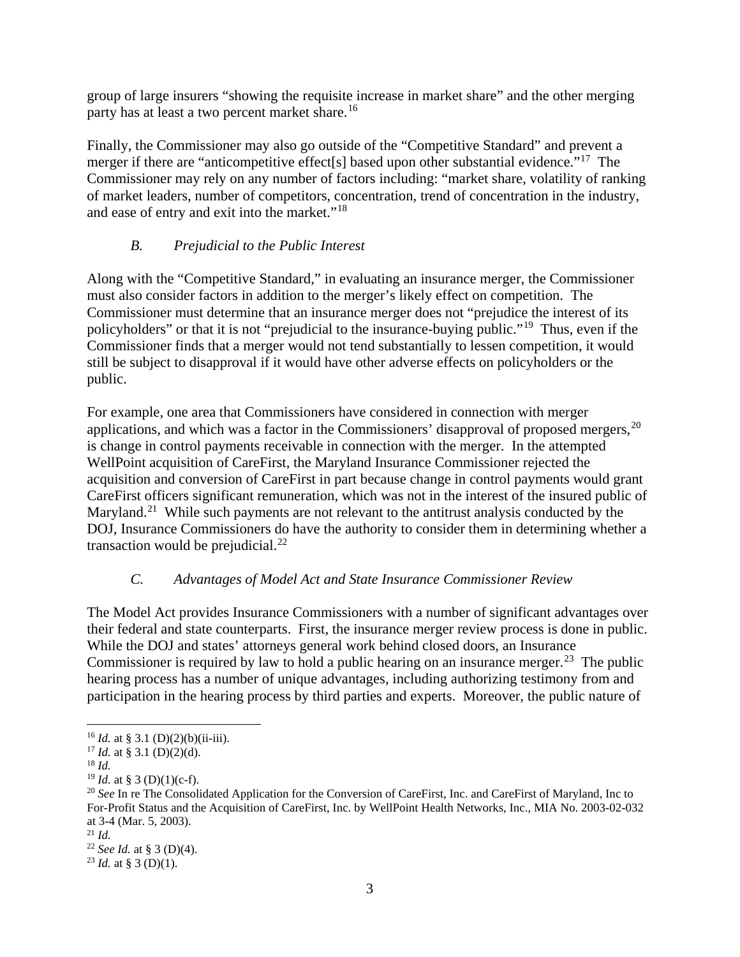group of large insurers "showing the requisite increase in market share" and the other merging party has at least a two percent market share.<sup>[16](#page-5-0)</sup>

Finally, the Commissioner may also go outside of the "Competitive Standard" and prevent a merger if there are "anticompetitive effect<sup>[s]</sup> based upon other substantial evidence."<sup>17</sup> The Commissioner may rely on any number of factors including: "market share, volatility of ranking of market leaders, number of competitors, concentration, trend of concentration in the industry, and ease of entry and exit into the market."[18](#page-5-2)

# *B. Prejudicial to the Public Interest*

Along with the "Competitive Standard," in evaluating an insurance merger, the Commissioner must also consider factors in addition to the merger's likely effect on competition. The Commissioner must determine that an insurance merger does not "prejudice the interest of its policyholders" or that it is not "prejudicial to the insurance-buying public."[19](#page-5-3) Thus, even if the Commissioner finds that a merger would not tend substantially to lessen competition, it would still be subject to disapproval if it would have other adverse effects on policyholders or the public.

For example, one area that Commissioners have considered in connection with merger applications, and which was a factor in the Commissioners' disapproval of proposed mergers,  $20$ is change in control payments receivable in connection with the merger. In the attempted WellPoint acquisition of CareFirst, the Maryland Insurance Commissioner rejected the acquisition and conversion of CareFirst in part because change in control payments would grant CareFirst officers significant remuneration, which was not in the interest of the insured public of Maryland.<sup>[21](#page-5-5)</sup> While such payments are not relevant to the antitrust analysis conducted by the DOJ, Insurance Commissioners do have the authority to consider them in determining whether a transaction would be prejudicial. $^{22}$ 

# *C. Advantages of Model Act and State Insurance Commissioner Review*

The Model Act provides Insurance Commissioners with a number of significant advantages over their federal and state counterparts. First, the insurance merger review process is done in public. While the DOJ and states' attorneys general work behind closed doors, an Insurance Commissioner is required by law to hold a public hearing on an insurance merger.<sup>[23](#page-5-7)</sup> The public hearing process has a number of unique advantages, including authorizing testimony from and participation in the hearing process by third parties and experts. Moreover, the public nature of

<span id="page-5-0"></span> $16$  *Id.* at § 3.1 (D)(2)(b)(ii-iii).

<span id="page-5-1"></span><sup>&</sup>lt;sup>17</sup> *Id.* at § 3.1 (D)(2)(d).

<span id="page-5-2"></span><sup>&</sup>lt;sup>18</sup> *Id.* **19** *Id.* **at** § 3 (D)(1)(c-f).

<span id="page-5-4"></span><span id="page-5-3"></span><sup>&</sup>lt;sup>20</sup> See In re The Consolidated Application for the Conversion of CareFirst, Inc. and CareFirst of Maryland, Inc to For-Profit Status and the Acquisition of CareFirst, Inc. by WellPoint Health Networks, Inc., MIA No. 2003-02-032 at 3-4 (Mar. 5, 2003). 21 *Id.* 

<span id="page-5-5"></span>

<span id="page-5-7"></span><span id="page-5-6"></span><sup>22</sup> *See Id.* at § 3 (D)(4). 23 *Id.* at § 3 (D)(1).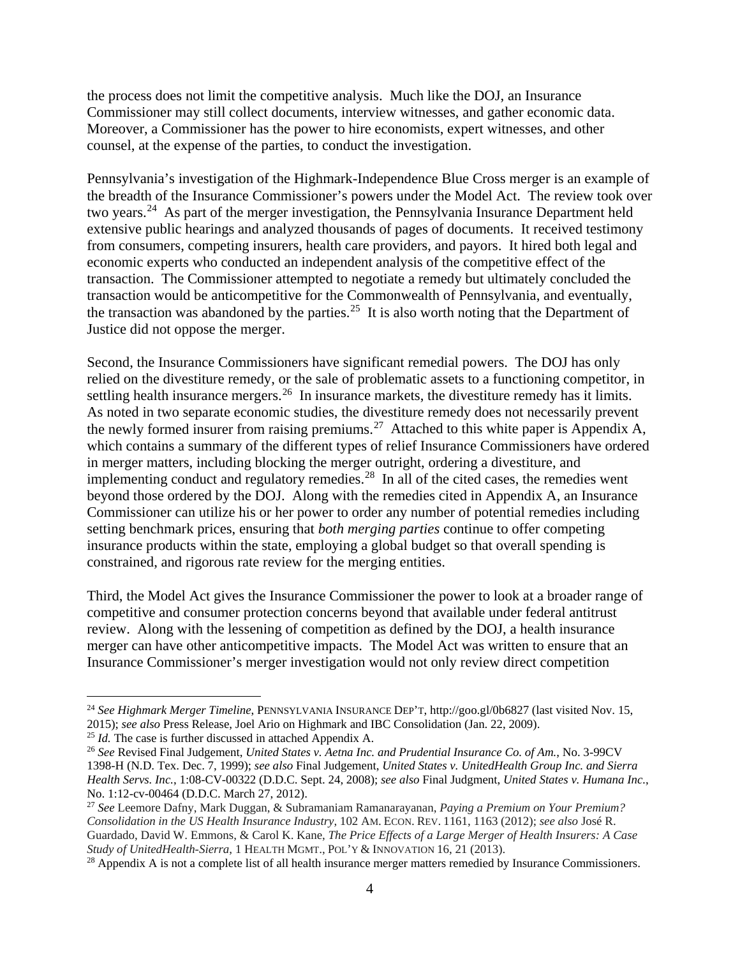the process does not limit the competitive analysis. Much like the DOJ, an Insurance Commissioner may still collect documents, interview witnesses, and gather economic data. Moreover, a Commissioner has the power to hire economists, expert witnesses, and other counsel, at the expense of the parties, to conduct the investigation.

Pennsylvania's investigation of the Highmark-Independence Blue Cross merger is an example of the breadth of the Insurance Commissioner's powers under the Model Act. The review took over two years.<sup>24</sup> As part of the merger investigation, the Pennsylvania Insurance Department held extensive public hearings and analyzed thousands of pages of documents. It received testimony from consumers, competing insurers, health care providers, and payors. It hired both legal and economic experts who conducted an independent analysis of the competitive effect of the transaction. The Commissioner attempted to negotiate a remedy but ultimately concluded the transaction would be anticompetitive for the Commonwealth of Pennsylvania, and eventually, the transaction was abandoned by the parties.<sup>[25](#page-6-1)</sup> It is also worth noting that the Department of Justice did not oppose the merger.

Second, the Insurance Commissioners have significant remedial powers. The DOJ has only relied on the divestiture remedy, or the sale of problematic assets to a functioning competitor, in settling health insurance mergers.<sup>26</sup> In insurance markets, the divestiture remedy has it limits. As noted in two separate economic studies, the divestiture remedy does not necessarily prevent the newly formed insurer from raising premiums.<sup>[27](#page-6-3)</sup> Attached to this white paper is Appendix A, which contains a summary of the different types of relief Insurance Commissioners have ordered in merger matters, including blocking the merger outright, ordering a divestiture, and implementing conduct and regulatory remedies. $^{28}$  $^{28}$  $^{28}$  In all of the cited cases, the remedies went beyond those ordered by the DOJ. Along with the remedies cited in Appendix A, an Insurance Commissioner can utilize his or her power to order any number of potential remedies including setting benchmark prices, ensuring that *both merging parties* continue to offer competing insurance products within the state, employing a global budget so that overall spending is constrained, and rigorous rate review for the merging entities.

Third, the Model Act gives the Insurance Commissioner the power to look at a broader range of competitive and consumer protection concerns beyond that available under federal antitrust review. Along with the lessening of competition as defined by the DOJ, a health insurance merger can have other anticompetitive impacts. The Model Act was written to ensure that an Insurance Commissioner's merger investigation would not only review direct competition

<span id="page-6-0"></span> <sup>24</sup> *See Highmark Merger Timeline*, PENNSYLVANIA INSURANCE DEP'T, http://goo.gl/0b6827 (last visited Nov. 15, 2015); *see also* Press Release, Joel Ario on Highmark and IBC Consolidation (Jan. 22, 2009).<br><sup>25</sup> Id. The case is further discussed in attached Appendix A.

<span id="page-6-1"></span>

<span id="page-6-2"></span><sup>&</sup>lt;sup>26</sup> See Revised Final Judgement, *United States v. Aetna Inc. and Prudential Insurance Co. of Am.*, No. 3-99CV 1398-H (N.D. Tex. Dec. 7, 1999); *see also* Final Judgement, *United States v. UnitedHealth Group Inc. and Sierra Health Servs. Inc.*, 1:08-CV-00322 (D.D.C. Sept. 24, 2008); *see also* Final Judgment, *United States v. Humana Inc.*, No. 1:12-cv-00464 (D.D.C. March 27, 2012).

<span id="page-6-3"></span><sup>27</sup> *See* Leemore Dafny, Mark Duggan, & Subramaniam Ramanarayanan, *Paying a Premium on Your Premium? Consolidation in the US Health Insurance Industry*, 102 AM. ECON. REV. 1161, 1163 (2012); *see also* José R. Guardado, David W. Emmons, & Carol K. Kane, *The Price Effects of a Large Merger of Health Insurers: A Case* 

<span id="page-6-4"></span><sup>&</sup>lt;sup>28</sup> Appendix A is not a complete list of all health insurance merger matters remedied by Insurance Commissioners.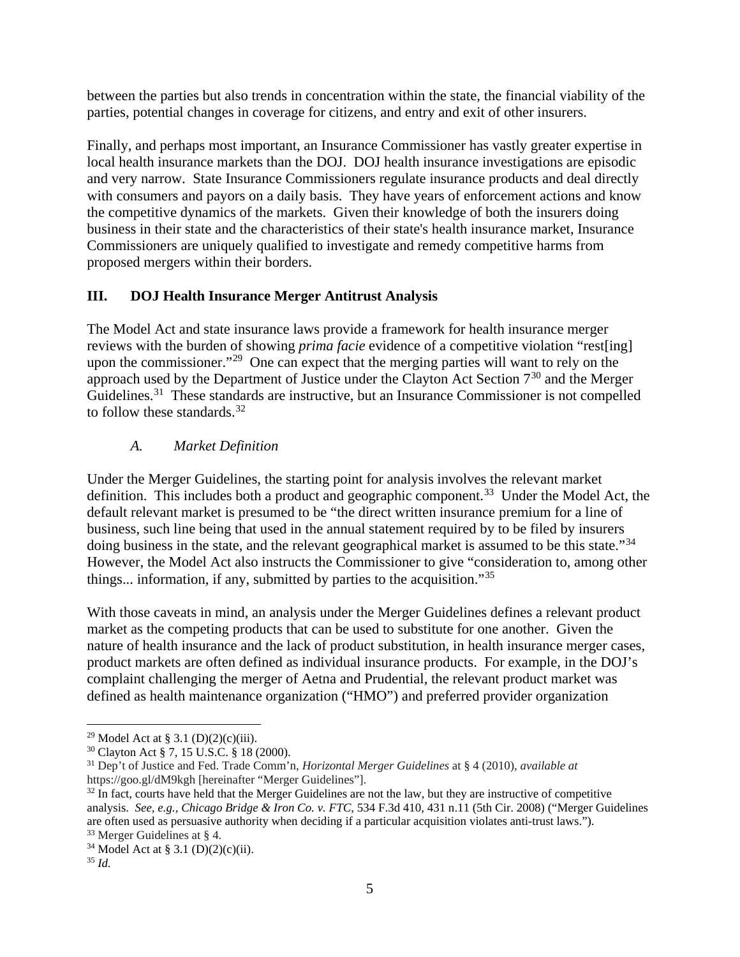between the parties but also trends in concentration within the state, the financial viability of the parties, potential changes in coverage for citizens, and entry and exit of other insurers.

Finally, and perhaps most important, an Insurance Commissioner has vastly greater expertise in local health insurance markets than the DOJ. DOJ health insurance investigations are episodic and very narrow. State Insurance Commissioners regulate insurance products and deal directly with consumers and payors on a daily basis. They have years of enforcement actions and know the competitive dynamics of the markets. Given their knowledge of both the insurers doing business in their state and the characteristics of their state's health insurance market, Insurance Commissioners are uniquely qualified to investigate and remedy competitive harms from proposed mergers within their borders.

# **III. DOJ Health Insurance Merger Antitrust Analysis**

The Model Act and state insurance laws provide a framework for health insurance merger reviews with the burden of showing *prima facie* evidence of a competitive violation "rest[ing] upon the commissioner.<sup>"29</sup> One can expect that the merging parties will want to rely on the approach used by the Department of Justice under the Clayton Act Section  $7<sup>30</sup>$  $7<sup>30</sup>$  $7<sup>30</sup>$  and the Merger Guidelines.<sup>31</sup> These standards are instructive, but an Insurance Commissioner is not compelled to follow these standards.<sup>[32](#page-7-3)</sup>

# *A. Market Definition*

Under the Merger Guidelines, the starting point for analysis involves the relevant market definition. This includes both a product and geographic component.<sup>33</sup> Under the Model Act, the default relevant market is presumed to be "the direct written insurance premium for a line of business, such line being that used in the annual statement required by to be filed by insurers doing business in the state, and the relevant geographical market is assumed to be this state."<sup>[34](#page-7-5)</sup> However, the Model Act also instructs the Commissioner to give "consideration to, among other things... information, if any, submitted by parties to the acquisition."[35](#page-7-6)

With those caveats in mind, an analysis under the Merger Guidelines defines a relevant product market as the competing products that can be used to substitute for one another. Given the nature of health insurance and the lack of product substitution, in health insurance merger cases, product markets are often defined as individual insurance products. For example, in the DOJ's complaint challenging the merger of Aetna and Prudential, the relevant product market was defined as health maintenance organization ("HMO") and preferred provider organization

<span id="page-7-2"></span>

<span id="page-7-1"></span><span id="page-7-0"></span><sup>29</sup> Model Act at § 3.1 (D)(2)(c)(iii). 30 Clayton Act § 7, 15 U.S.C. § 18 (2000). 31 Dep't of Justice and Fed. Trade Comm'n, *Horizontal Merger Guidelines* at § 4 (2010), *available at*  https://goo.gl/dM9kgh [hereinafter "Merger Guidelines"].

<span id="page-7-3"></span> $32$  In fact, courts have held that the Merger Guidelines are not the law, but they are instructive of competitive analysis. *See, e.g., Chicago Bridge & Iron Co. v. FTC*, 534 F.3d 410, 431 n.11 (5th Cir. 2008) ("Merger Guidelines are often used as persuasive authority when deciding if a particular acquisition violates anti-trust laws.").

<span id="page-7-5"></span><span id="page-7-4"></span><sup>33</sup> Merger Guidelines at § 4. 34 Model Act at § 3.1 (D)(2)(c)(ii). 35 *Id.* 

<span id="page-7-6"></span>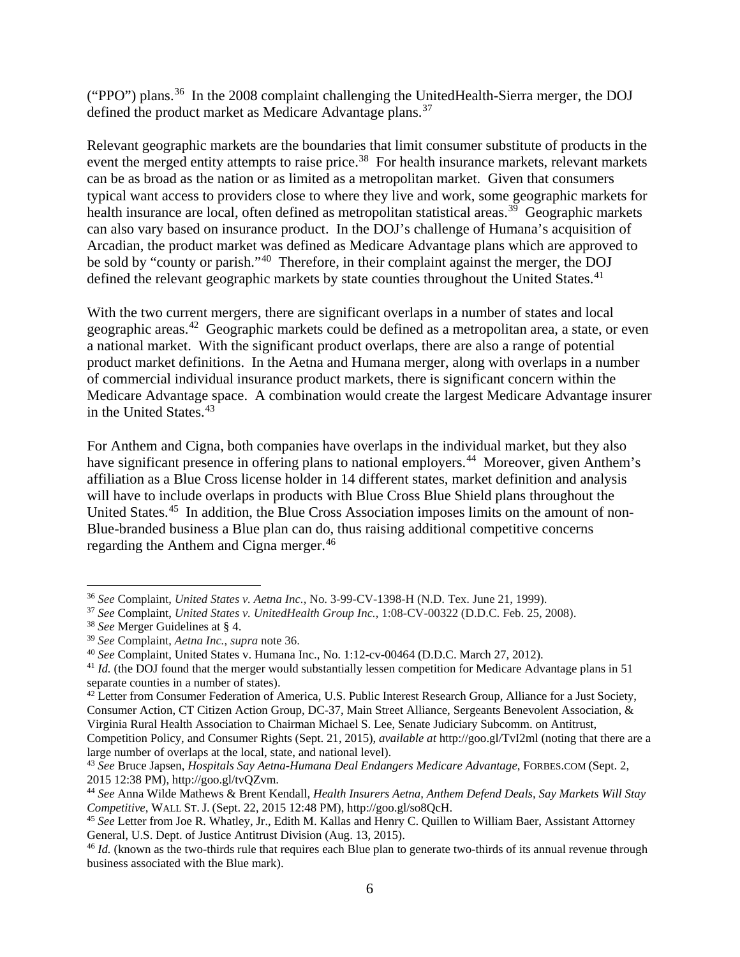("PPO") plans.<sup>36</sup> In the 2008 complaint challenging the UnitedHealth-Sierra merger, the DOJ defined the product market as Medicare Advantage plans.<sup>37</sup>

Relevant geographic markets are the boundaries that limit consumer substitute of products in the event the merged entity attempts to raise price.<sup>[38](#page-8-2)</sup> For health insurance markets, relevant markets can be as broad as the nation or as limited as a metropolitan market. Given that consumers typical want access to providers close to where they live and work, some geographic markets for health insurance are local, often defined as metropolitan statistical areas.<sup>39</sup> Geographic markets can also vary based on insurance product. In the DOJ's challenge of Humana's acquisition of Arcadian, the product market was defined as Medicare Advantage plans which are approved to be sold by "county or parish."[40](#page-8-4) Therefore, in their complaint against the merger, the DOJ defined the relevant geographic markets by state counties throughout the United States.<sup>[41](#page-8-5)</sup>

With the two current mergers, there are significant overlaps in a number of states and local geographic areas.<sup>[42](#page-8-6)</sup> Geographic markets could be defined as a metropolitan area, a state, or even a national market. With the significant product overlaps, there are also a range of potential product market definitions. In the Aetna and Humana merger, along with overlaps in a number of commercial individual insurance product markets, there is significant concern within the Medicare Advantage space. A combination would create the largest Medicare Advantage insurer in the United States.<sup>[43](#page-8-7)</sup>

For Anthem and Cigna, both companies have overlaps in the individual market, but they also have significant presence in offering plans to national employers.<sup>[44](#page-8-8)</sup> Moreover, given Anthem's affiliation as a Blue Cross license holder in 14 different states, market definition and analysis will have to include overlaps in products with Blue Cross Blue Shield plans throughout the United States.<sup>45</sup> In addition, the Blue Cross Association imposes limits on the amount of non-Blue-branded business a Blue plan can do, thus raising additional competitive concerns regarding the Anthem and Cigna merger.<sup>[46](#page-8-10)</sup>

 <sup>36</sup> *See* Complaint, *United States v. Aetna Inc.*, No. 3-99-CV-1398-H (N.D. Tex. June 21, 1999).

<span id="page-8-1"></span><span id="page-8-0"></span><sup>37</sup> *See* Complaint, *United States v. UnitedHealth Group Inc.*, 1:08-CV-00322 (D.D.C. Feb. 25, 2008).

<span id="page-8-3"></span><span id="page-8-2"></span><sup>&</sup>lt;sup>38</sup> *See* Merger Guidelines at § 4.<br><sup>39</sup> *See* Complaint, *Aetna Inc.*, *supra* note 36.

<span id="page-8-4"></span><sup>&</sup>lt;sup>40</sup> See Complaint, United States v. Humana Inc., No. 1:12-cv-00464 (D.D.C. March 27, 2012).<br><sup>41</sup> *Id.* (the DOJ found that the merger would substantially lessen competition for Medicare Advantage plans in 51

<span id="page-8-5"></span>separate counties in a number of states).

<span id="page-8-6"></span><sup>&</sup>lt;sup>42</sup> Letter from Consumer Federation of America, U.S. Public Interest Research Group, Alliance for a Just Society, Consumer Action, CT Citizen Action Group, DC-37, Main Street Alliance, Sergeants Benevolent Association, & Virginia Rural Health Association to Chairman Michael S. Lee, Senate Judiciary Subcomm. on Antitrust, Competition Policy, and Consumer Rights (Sept. 21, 2015), *available at* http://goo.gl/TvI2ml (noting that there are a

large number of overlaps at the local, state, and national level).

<span id="page-8-7"></span><sup>43</sup> *See* Bruce Japsen, *Hospitals Say Aetna-Humana Deal Endangers Medicare Advantage*, FORBES.COM (Sept. 2, 2015 12:38 PM), http://goo.gl/tvQZvm.

<span id="page-8-8"></span><sup>44</sup> *See* Anna Wilde Mathews & Brent Kendall, *Health Insurers Aetna, Anthem Defend Deals, Say Markets Will Stay Competitive*, WALL ST. J. (Sept. 22, 2015 12:48 PM), http://goo.gl/so8QcH.

<span id="page-8-9"></span><sup>45</sup> *See* Letter from Joe R. Whatley, Jr., Edith M. Kallas and Henry C. Quillen to William Baer, Assistant Attorney General, U.S. Dept. of Justice Antitrust Division (Aug. 13, 2015).

<span id="page-8-10"></span><sup>&</sup>lt;sup>46</sup> *Id.* (known as the two-thirds rule that requires each Blue plan to generate two-thirds of its annual revenue through business associated with the Blue mark).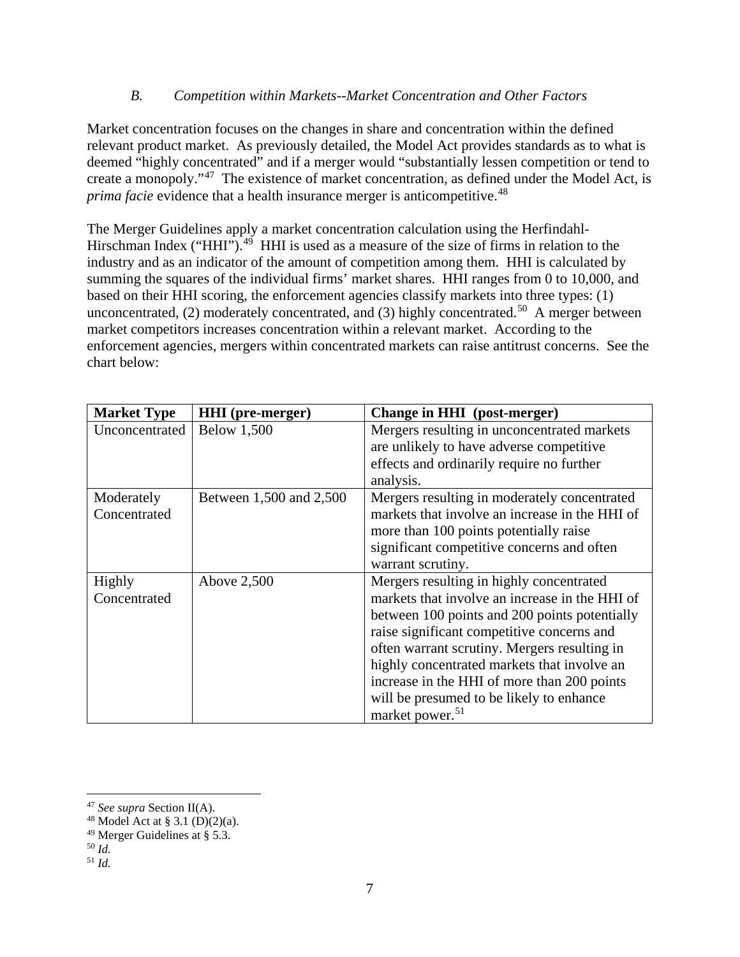#### *B. Competition within Markets--Market Concentration and Other Factors*

Market concentration focuses on the changes in share and concentration within the defined relevant product market. As previously detailed, the Model Act provides standards as to what is deemed "highly concentrated" and if a merger would "substantially lessen competition or tend to create a monopoly."[47](#page-9-0) The existence of market concentration, as defined under the Model Act, is *prima facie* evidence that a health insurance merger is anticompetitive.<sup>[48](#page-9-1)</sup>

The Merger Guidelines apply a market concentration calculation using the Herfindahl-Hirschman Index ("HHI"). $^{49}$  HHI is used as a measure of the size of firms in relation to the industry and as an indicator of the amount of competition among them. HHI is calculated by summing the squares of the individual firms' market shares. HHI ranges from 0 to 10,000, and based on their HHI scoring, the enforcement agencies classify markets into three types: (1) unconcentrated, (2) moderately concentrated, and (3) highly concentrated.<sup>[50](#page-9-3)</sup> A merger between market competitors increases concentration within a relevant market. According to the enforcement agencies, mergers within concentrated markets can raise antitrust concerns. See the chart below:

| <b>Market Type</b> | <b>HHI</b> (pre-merger) | Change in HHI (post-merger)                    |
|--------------------|-------------------------|------------------------------------------------|
| Unconcentrated     | <b>Below 1,500</b>      | Mergers resulting in unconcentrated markets    |
|                    |                         | are unlikely to have adverse competitive       |
|                    |                         | effects and ordinarily require no further      |
|                    |                         | analysis.                                      |
| Moderately         | Between 1,500 and 2,500 | Mergers resulting in moderately concentrated   |
| Concentrated       |                         | markets that involve an increase in the HHI of |
|                    |                         | more than 100 points potentially raise         |
|                    |                         | significant competitive concerns and often     |
|                    |                         | warrant scrutiny.                              |
| Highly             | Above 2,500             | Mergers resulting in highly concentrated       |
| Concentrated       |                         | markets that involve an increase in the HHI of |
|                    |                         | between 100 points and 200 points potentially  |
|                    |                         | raise significant competitive concerns and     |
|                    |                         | often warrant scrutiny. Mergers resulting in   |
|                    |                         | highly concentrated markets that involve an    |
|                    |                         | increase in the HHI of more than 200 points    |
|                    |                         | will be presumed to be likely to enhance       |
|                    |                         | market power. <sup>51</sup>                    |

<span id="page-9-0"></span> <sup>47</sup> *See supra* Section II(A).

<span id="page-9-1"></span><sup>&</sup>lt;sup>48</sup> Model Act at § 3.1 (D)(2)(a).

<span id="page-9-2"></span><sup>49</sup> Merger Guidelines at § 5.3. 50 *Id.* 

<span id="page-9-3"></span>

<span id="page-9-4"></span><sup>51</sup> *Id.*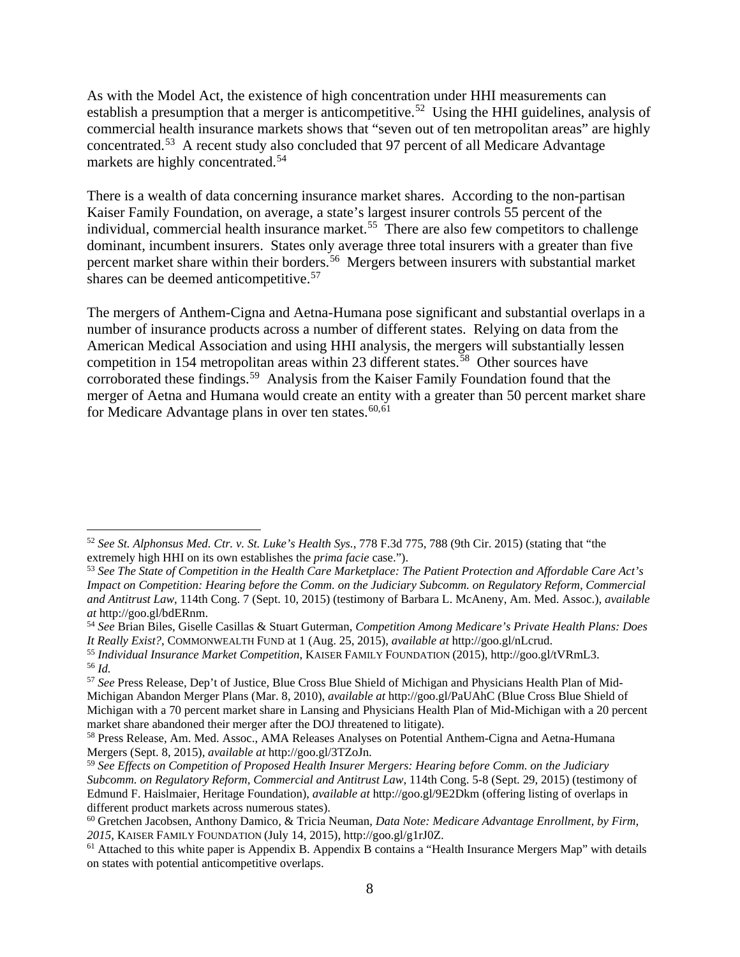As with the Model Act, the existence of high concentration under HHI measurements can establish a presumption that a merger is anticompetitive.<sup>[52](#page-10-0)</sup> Using the HHI guidelines, analysis of commercial health insurance markets shows that "seven out of ten metropolitan areas" are highly concentrated.[53](#page-10-1) A recent study also concluded that 97 percent of all Medicare Advantage markets are highly concentrated.<sup>[54](#page-10-2)</sup>

There is a wealth of data concerning insurance market shares. According to the non-partisan Kaiser Family Foundation, on average, a state's largest insurer controls 55 percent of the individual, commercial health insurance market.<sup>[55](#page-10-3)</sup> There are also few competitors to challenge dominant, incumbent insurers. States only average three total insurers with a greater than five percent market share within their borders.<sup>[56](#page-10-4)</sup> Mergers between insurers with substantial market shares can be deemed anticompetitive.<sup>[57](#page-10-5)</sup>

The mergers of Anthem-Cigna and Aetna-Humana pose significant and substantial overlaps in a number of insurance products across a number of different states. Relying on data from the American Medical Association and using HHI analysis, the mergers will substantially lessen competition in 154 metropolitan areas within 23 different states.<sup>58</sup> Other sources have corroborated these findings.<sup>[59](#page-10-7)</sup> Analysis from the Kaiser Family Foundation found that the merger of Aetna and Humana would create an entity with a greater than 50 percent market share for Medicare Advantage plans in over ten states. $60,61$  $60,61$ 

<span id="page-10-0"></span> <sup>52</sup> *See St. Alphonsus Med. Ctr. v. St. Luke's Health Sys.*, 778 F.3d 775, 788 (9th Cir. 2015) (stating that "the

<span id="page-10-1"></span><sup>&</sup>lt;sup>53</sup> See The State of Competition in the Health Care Marketplace: The Patient Protection and Affordable Care Act's *Impact on Competition: Hearing before the Comm. on the Judiciary Subcomm. on Regulatory Reform, Commercial and Antitrust Law*, 114th Cong. 7 (Sept. 10, 2015) (testimony of Barbara L. McAneny, Am. Med. Assoc.), *available at* http://goo.gl/bdERnm.

<span id="page-10-2"></span><sup>54</sup> *See* Brian Biles, Giselle Casillas & Stuart Guterman, *Competition Among Medicare's Private Health Plans: Does It Really Exist?*, COMMONWEALTH FUND at 1 (Aug. 25, 2015), *available at* http://goo.gl/nLcrud.

<span id="page-10-3"></span><sup>55</sup> *Individual Insurance Market Competition*, KAISER FAMILY FOUNDATION (2015), http://goo.gl/tVRmL3. <sup>56</sup> *Id.* 

<span id="page-10-5"></span><span id="page-10-4"></span><sup>57</sup> *See* Press Release, Dep't of Justice, Blue Cross Blue Shield of Michigan and Physicians Health Plan of Mid-Michigan Abandon Merger Plans (Mar. 8, 2010), *available at* <http://goo.gl/PaUAhC> (Blue Cross Blue Shield of Michigan with a 70 percent market share in Lansing and Physicians Health Plan of Mid-Michigan with a 20 percent market share abandoned their merger after the DOJ threatened to litigate).

<span id="page-10-6"></span><sup>&</sup>lt;sup>58</sup> Press Release, Am. Med. Assoc., AMA Releases Analyses on Potential Anthem-Cigna and Aetna-Humana<br>Mergers (Sept. 8, 2015), *available at* http://goo.gl/3TZoJn.

<span id="page-10-7"></span><sup>&</sup>lt;sup>59</sup> See Effects on Competition of Proposed Health Insurer Mergers: Hearing before Comm. on the Judiciary *Subcomm. on Regulatory Reform, Commercial and Antitrust Law*, 114th Cong. 5-8 (Sept. 29, 2015) (testimony of Edmund F. Haislmaier, Heritage Foundation), *available at* http://goo.gl/9E2Dkm (offering listing of overlaps in different product markets across numerous states).

<span id="page-10-8"></span><sup>60</sup> Gretchen Jacobsen, Anthony Damico, & Tricia Neuman, *Data Note: Medicare Advantage Enrollment, by Firm, 2015*, KAISER FAMILY FOUNDATION (July 14, 2015), http://goo.gl/g1rJ0Z.

<span id="page-10-9"></span><sup>&</sup>lt;sup>61</sup> Attached to this white paper is Appendix B. Appendix B contains a "Health Insurance Mergers Map" with details on states with potential anticompetitive overlaps.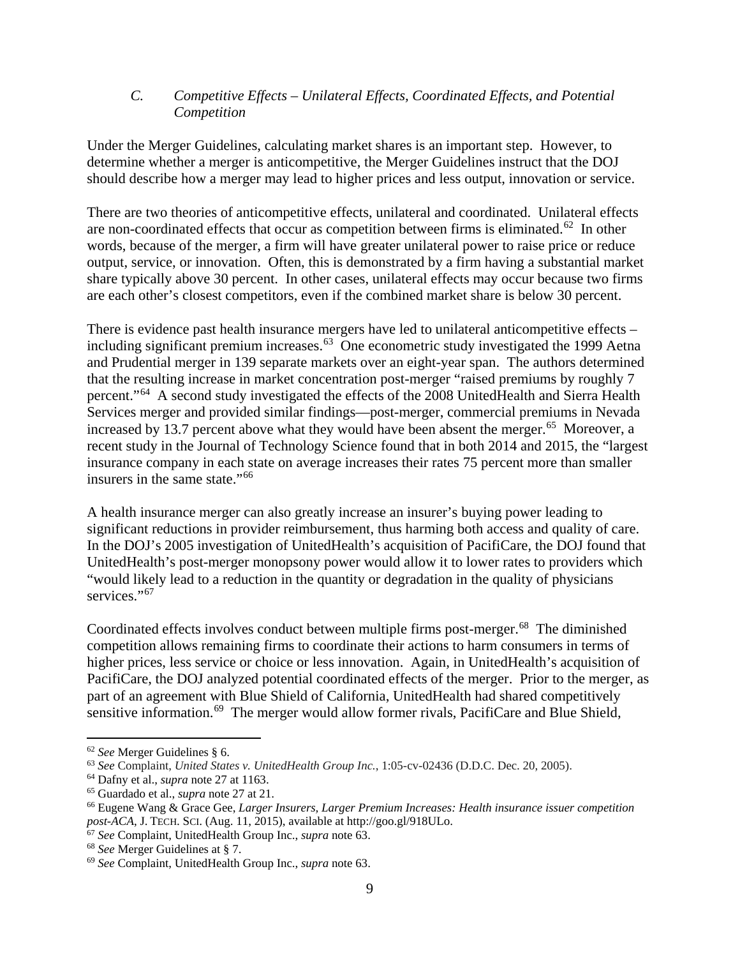#### *C. Competitive Effects – Unilateral Effects, Coordinated Effects, and Potential Competition*

Under the Merger Guidelines, calculating market shares is an important step. However, to determine whether a merger is anticompetitive, the Merger Guidelines instruct that the DOJ should describe how a merger may lead to higher prices and less output, innovation or service.

There are two theories of anticompetitive effects, unilateral and coordinated. Unilateral effects are non-coordinated effects that occur as competition between firms is eliminated.<sup>62</sup> In other words, because of the merger, a firm will have greater unilateral power to raise price or reduce output, service, or innovation. Often, this is demonstrated by a firm having a substantial market share typically above 30 percent. In other cases, unilateral effects may occur because two firms are each other's closest competitors, even if the combined market share is below 30 percent.

There is evidence past health insurance mergers have led to unilateral anticompetitive effects – including significant premium increases. [63](#page-11-1) One econometric study investigated the 1999 Aetna and Prudential merger in 139 separate markets over an eight-year span. The authors determined that the resulting increase in market concentration post-merger "raised premiums by roughly 7 percent."[64](#page-11-2) A second study investigated the effects of the 2008 UnitedHealth and Sierra Health Services merger and provided similar findings—post-merger, commercial premiums in Nevada increased by 13.7 percent above what they would have been absent the merger. [65](#page-11-3) Moreover, a recent study in the Journal of Technology Science found that in both 2014 and 2015, the "largest insurance company in each state on average increases their rates 75 percent more than smaller insurers in the same state."[66](#page-11-4)

A health insurance merger can also greatly increase an insurer's buying power leading to significant reductions in provider reimbursement, thus harming both access and quality of care. In the DOJ's 2005 investigation of UnitedHealth's acquisition of PacifiCare, the DOJ found that UnitedHealth's post-merger monopsony power would allow it to lower rates to providers which "would likely lead to a reduction in the quantity or degradation in the quality of physicians services."<sup>[67](#page-11-5)</sup>

Coordinated effects involves conduct between multiple firms post-merger.<sup>68</sup> The diminished competition allows remaining firms to coordinate their actions to harm consumers in terms of higher prices, less service or choice or less innovation. Again, in UnitedHealth's acquisition of PacifiCare, the DOJ analyzed potential coordinated effects of the merger. Prior to the merger, as part of an agreement with Blue Shield of California, UnitedHealth had shared competitively sensitive information.<sup>[69](#page-11-7)</sup> The merger would allow former rivals, PacifiCare and Blue Shield,

<span id="page-11-0"></span> <sup>62</sup> *See* Merger Guidelines § 6.

<span id="page-11-1"></span><sup>63</sup> *See* Complaint, *United States v. UnitedHealth Group Inc.*, 1:05-cv-02436 (D.D.C. Dec. 20, 2005).

<span id="page-11-2"></span><sup>64</sup> Dafny et al., *supra* note 27 at 1163.

<span id="page-11-4"></span><span id="page-11-3"></span><sup>&</sup>lt;sup>65</sup> Guardado et al., *supra* note 27 at 21.<br><sup>66</sup> Eugene Wang & Grace Gee, *Larger Insurers, Larger Premium Increases: Health insurance issuer competition post-ACA*, J. TECH. SCI. (Aug. 11, 2015), available at http://goo.gl/918ULo. 67 *See* Complaint, UnitedHealth Group Inc., *supra* note 63.

<span id="page-11-5"></span>

<span id="page-11-6"></span><sup>68</sup> *See* Merger Guidelines at § 7.

<span id="page-11-7"></span><sup>69</sup> *See* Complaint, UnitedHealth Group Inc., *supra* note 63.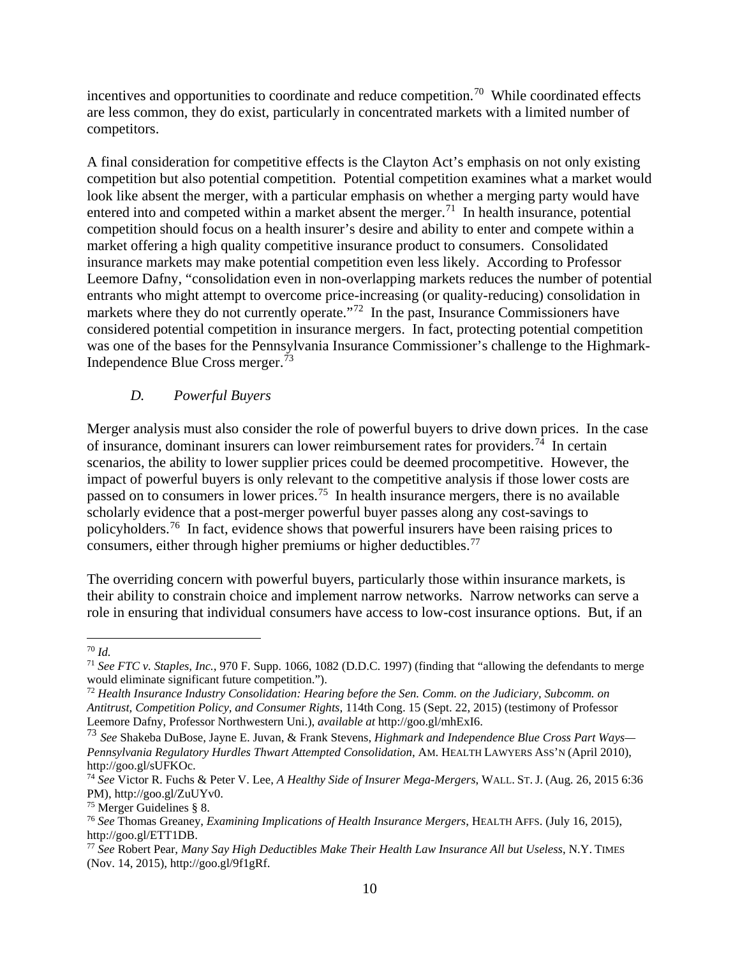incentives and opportunities to coordinate and reduce competition.[70](#page-12-0) While coordinated effects are less common, they do exist, particularly in concentrated markets with a limited number of competitors.

A final consideration for competitive effects is the Clayton Act's emphasis on not only existing competition but also potential competition. Potential competition examines what a market would look like absent the merger, with a particular emphasis on whether a merging party would have entered into and competed within a market absent the merger.<sup>[71](#page-12-1)</sup> In health insurance, potential competition should focus on a health insurer's desire and ability to enter and compete within a market offering a high quality competitive insurance product to consumers. Consolidated insurance markets may make potential competition even less likely. According to Professor Leemore Dafny, "consolidation even in non-overlapping markets reduces the number of potential entrants who might attempt to overcome price-increasing (or quality-reducing) consolidation in markets where they do not currently operate."<sup>72</sup> In the past, Insurance Commissioners have considered potential competition in insurance mergers. In fact, protecting potential competition was one of the bases for the Pennsylvania Insurance Commissioner's challenge to the Highmark-Independence Blue Cross merger.[73](#page-12-3)

# *D. Powerful Buyers*

Merger analysis must also consider the role of powerful buyers to drive down prices. In the case of insurance, dominant insurers can lower reimbursement rates for providers.<sup>74</sup> In certain scenarios, the ability to lower supplier prices could be deemed procompetitive. However, the impact of powerful buyers is only relevant to the competitive analysis if those lower costs are passed on to consumers in lower prices.<sup>75</sup> In health insurance mergers, there is no available scholarly evidence that a post-merger powerful buyer passes along any cost-savings to policyholders.<sup>76</sup> In fact, evidence shows that powerful insurers have been raising prices to consumers, either through higher premiums or higher deductibles.[77](#page-12-7)

The overriding concern with powerful buyers, particularly those within insurance markets, is their ability to constrain choice and implement narrow networks. Narrow networks can serve a role in ensuring that individual consumers have access to low-cost insurance options. But, if an

<span id="page-12-0"></span> <sup>70</sup> *Id.*

<span id="page-12-1"></span><sup>71</sup> *See FTC v. Staples, Inc.*, 970 F. Supp. 1066, 1082 (D.D.C. 1997) (finding that "allowing the defendants to merge

<span id="page-12-2"></span> $12$  Health Insurance Industry Consolidation: Hearing before the Sen. Comm. on the Judiciary, Subcomm. on *Antitrust, Competition Policy, and Consumer Rights*, 114th Cong. 15 (Sept. 22, 2015) (testimony of Professor Leemore Dafny, Professor Northwestern Uni.), *available at* http://goo.gl/mhExI6.

<span id="page-12-3"></span><sup>73</sup> *See* Shakeba DuBose, Jayne E. Juvan, & Frank Stevens, *Highmark and Independence Blue Cross Part Ways— Pennsylvania Regulatory Hurdles Thwart Attempted Consolidation*, AM. HEALTH LAWYERS ASS'N (April 2010), http://goo.gl/sUFKOc.

<span id="page-12-4"></span><sup>74</sup> *See* Victor R. Fuchs & Peter V. Lee, *A Healthy Side of Insurer Mega-Mergers*, WALL. ST. J. (Aug. 26, 2015 6:36 PM), http://goo.gl/ZuUYv0.

<span id="page-12-6"></span><span id="page-12-5"></span><sup>75</sup> Merger Guidelines § 8. 76 *See* Thomas Greaney, *Examining Implications of Health Insurance Mergers*, HEALTH AFFS. (July 16, 2015), http://goo.gl/ETT1DB.

<span id="page-12-7"></span><sup>77</sup> *See* Robert Pear, *Many Say High Deductibles Make Their Health Law Insurance All but Useless*, N.Y. TIMES (Nov. 14, 2015), http://goo.gl/9f1gRf.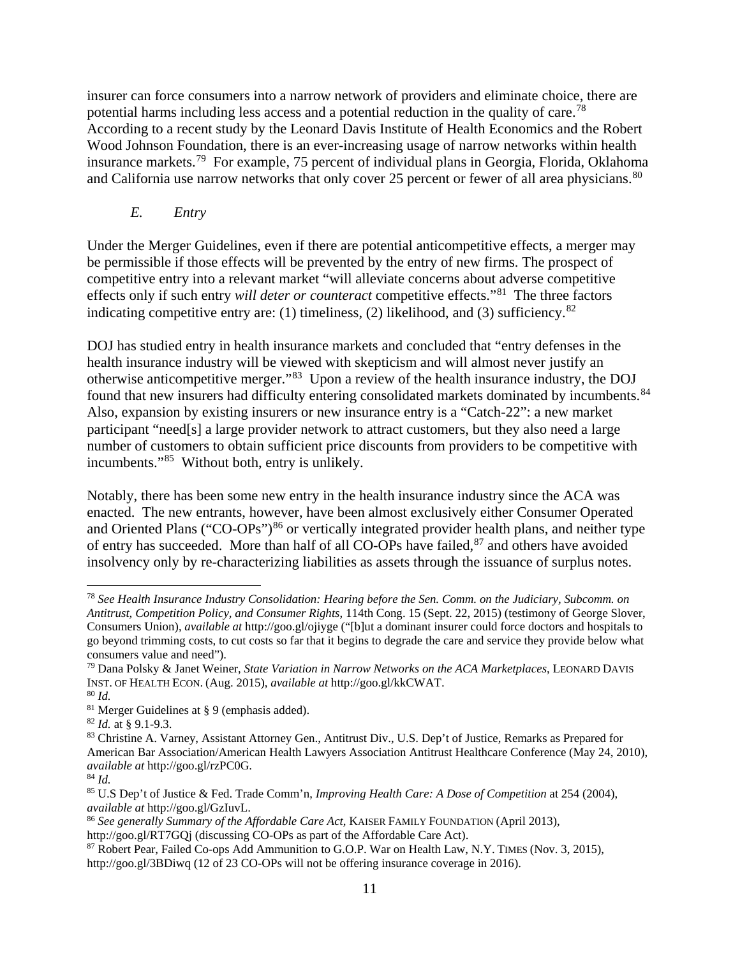insurer can force consumers into a narrow network of providers and eliminate choice, there are potential harms including less access and a potential reduction in the quality of care.[78](#page-13-0) According to a recent study by the Leonard Davis Institute of Health Economics and the Robert Wood Johnson Foundation, there is an ever-increasing usage of narrow networks within health insurance markets.<sup>79</sup> For example, 75 percent of individual plans in Georgia, Florida, Oklahoma and California use narrow networks that only cover 25 percent or fewer of all area physicians.<sup>[80](#page-13-2)</sup>

*E. Entry*

Under the Merger Guidelines, even if there are potential anticompetitive effects, a merger may be permissible if those effects will be prevented by the entry of new firms. The prospect of competitive entry into a relevant market "will alleviate concerns about adverse competitive effects only if such entry *will deter or counteract* competitive effects."[81](#page-13-3) The three factors indicating competitive entry are: (1) timeliness, (2) likelihood, and (3) sufficiency. $82$ 

DOJ has studied entry in health insurance markets and concluded that "entry defenses in the health insurance industry will be viewed with skepticism and will almost never justify an otherwise anticompetitive merger."[83](#page-13-5) Upon a review of the health insurance industry, the DOJ found that new insurers had difficulty entering consolidated markets dominated by incumbents.<sup>[84](#page-13-6)</sup> Also, expansion by existing insurers or new insurance entry is a "Catch-22": a new market participant "need[s] a large provider network to attract customers, but they also need a large number of customers to obtain sufficient price discounts from providers to be competitive with incumbents."[85](#page-13-7) Without both, entry is unlikely.

Notably, there has been some new entry in the health insurance industry since the ACA was enacted. The new entrants, however, have been almost exclusively either Consumer Operated and Oriented Plans ("CO-OPs")<sup>[86](#page-13-8)</sup> or vertically integrated provider health plans, and neither type of entry has succeeded. More than half of all  $CO-OPs$  have failed,  $87$  and others have avoided insolvency only by re-characterizing liabilities as assets through the issuance of surplus notes.

<span id="page-13-0"></span> <sup>78</sup> *See Health Insurance Industry Consolidation: Hearing before the Sen. Comm. on the Judiciary, Subcomm. on Antitrust, Competition Policy, and Consumer Rights*, 114th Cong. 15 (Sept. 22, 2015) (testimony of George Slover, Consumers Union), *available at* http://goo.gl/ojiyge ("[b]ut a dominant insurer could force doctors and hospitals to go beyond trimming costs, to cut costs so far that it begins to degrade the care and service they provide below what consumers value and need").

<span id="page-13-1"></span><sup>79</sup> Dana Polsky & Janet Weiner, *State Variation in Narrow Networks on the ACA Marketplaces*, LEONARD DAVIS INST. OF HEALTH ECON. (Aug. 2015), *available at* http://goo.gl/kkCWAT. 80 *Id.* 

<span id="page-13-3"></span><span id="page-13-2"></span><sup>&</sup>lt;sup>81</sup> Merger Guidelines at § 9 (emphasis added).<br><sup>82</sup> *Id.* at § 9.1-9.3.

<span id="page-13-5"></span><span id="page-13-4"></span><sup>83</sup> Christine A. Varney, Assistant Attorney Gen., Antitrust Div., U.S. Dep't of Justice, Remarks as Prepared for American Bar Association/American Health Lawyers Association Antitrust Healthcare Conference (May 24, 2010), *available at* http://goo.gl/rzPC0G.

<span id="page-13-6"></span><sup>84</sup> *Id.*

<span id="page-13-7"></span><sup>85</sup> U.S Dep't of Justice & Fed. Trade Comm'n, *Improving Health Care: A Dose of Competition* at 254 (2004), *available at* http://goo.gl/GzIuvL.

<span id="page-13-8"></span><sup>86</sup> *See generally Summary of the Affordable Care Act*, KAISER FAMILY FOUNDATION (April 2013), http://goo.gl/RT7GQj (discussing CO-OPs as part of the Affordable Care Act).

<span id="page-13-9"></span><sup>87</sup> Robert Pear, Failed Co-ops Add Ammunition to G.O.P. War on Health Law, N.Y. TIMES (Nov. 3, 2015), http://goo.gl/3BDiwq (12 of 23 CO-OPs will not be offering insurance coverage in 2016).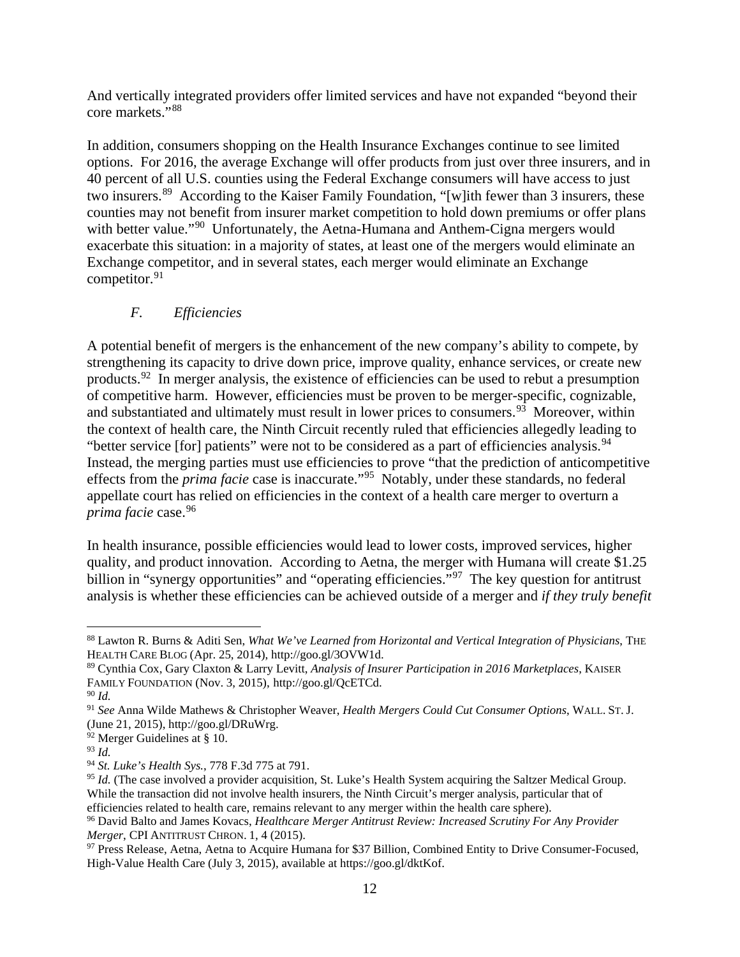And vertically integrated providers offer limited services and have not expanded "beyond their core markets."[88](#page-14-0)

In addition, consumers shopping on the Health Insurance Exchanges continue to see limited options. For 2016, the average Exchange will offer products from just over three insurers, and in 40 percent of all U.S. counties using the Federal Exchange consumers will have access to just two insurers.<sup>89</sup> According to the Kaiser Family Foundation, "[w]ith fewer than 3 insurers, these counties may not benefit from insurer market competition to hold down premiums or offer plans with better value."<sup>90</sup> Unfortunately, the Aetna-Humana and Anthem-Cigna mergers would exacerbate this situation: in a majority of states, at least one of the mergers would eliminate an Exchange competitor, and in several states, each merger would eliminate an Exchange competitor.<sup>[91](#page-14-3)</sup>

# *F. Efficiencies*

A potential benefit of mergers is the enhancement of the new company's ability to compete, by strengthening its capacity to drive down price, improve quality, enhance services, or create new products.[92](#page-14-4) In merger analysis, the existence of efficiencies can be used to rebut a presumption of competitive harm. However, efficiencies must be proven to be merger-specific, cognizable, and substantiated and ultimately must result in lower prices to consumers.<sup>[93](#page-14-5)</sup> Moreover, within the context of health care, the Ninth Circuit recently ruled that efficiencies allegedly leading to "better service [for] patients" were not to be considered as a part of efficiencies analysis.<sup>94</sup> Instead, the merging parties must use efficiencies to prove "that the prediction of anticompetitive effects from the *prima facie* case is inaccurate."[95](#page-14-7) Notably, under these standards, no federal appellate court has relied on efficiencies in the context of a health care merger to overturn a *prima facie* case.[96](#page-14-8)

In health insurance, possible efficiencies would lead to lower costs, improved services, higher quality, and product innovation. According to Aetna, the merger with Humana will create \$1.25 billion in "synergy opportunities" and "operating efficiencies."<sup>97</sup> The key question for antitrust analysis is whether these efficiencies can be achieved outside of a merger and *if they truly benefit* 

<span id="page-14-0"></span> <sup>88</sup> Lawton R. Burns & Aditi Sen, *What We've Learned from Horizontal and Vertical Integration of Physicians*, THE HEALTH CARE BLOG (Apr. 25, 2014), http://goo.gl/3OVW1d.

<span id="page-14-1"></span><sup>89</sup> Cynthia Cox, Gary Claxton & Larry Levitt, *Analysis of Insurer Participation in 2016 Marketplaces*, KAISER FAMILY FOUNDATION (Nov. 3, 2015), http://goo.gl/QcETCd.

<span id="page-14-2"></span><sup>90</sup> *Id.* 

<span id="page-14-3"></span><sup>91</sup> *See* Anna Wilde Mathews & Christopher Weaver, *Health Mergers Could Cut Consumer Options*, WALL. ST. J. (June 21, 2015), http://goo.gl/DRuWrg.

<span id="page-14-4"></span><sup>92</sup> Merger Guidelines at § 10.

<span id="page-14-5"></span><sup>93</sup> *Id.* 

<span id="page-14-6"></span><sup>94</sup> *St. Luke's Health Sys.*, 778 F.3d 775 at 791.

<span id="page-14-7"></span><sup>&</sup>lt;sup>95</sup> *Id.* (The case involved a provider acquisition, St. Luke's Health System acquiring the Saltzer Medical Group. While the transaction did not involve health insurers, the Ninth Circuit's merger analysis, particular that of efficiencies related to health care, remains relevant to any merger within the health care sphere).

<span id="page-14-8"></span><sup>96</sup> David Balto and James Kovacs, *Healthcare Merger Antitrust Review: Increased Scrutiny For Any Provider* 

<span id="page-14-9"></span>*Merger*, CPI ANTITRUST CHRON. 1, 4 (2015).<br><sup>97</sup> Press Release, Aetna, Aetna to Acquire Humana for \$37 Billion, Combined Entity to Drive Consumer-Focused, High-Value Health Care (July 3, 2015), available at https://goo.gl/dktKof.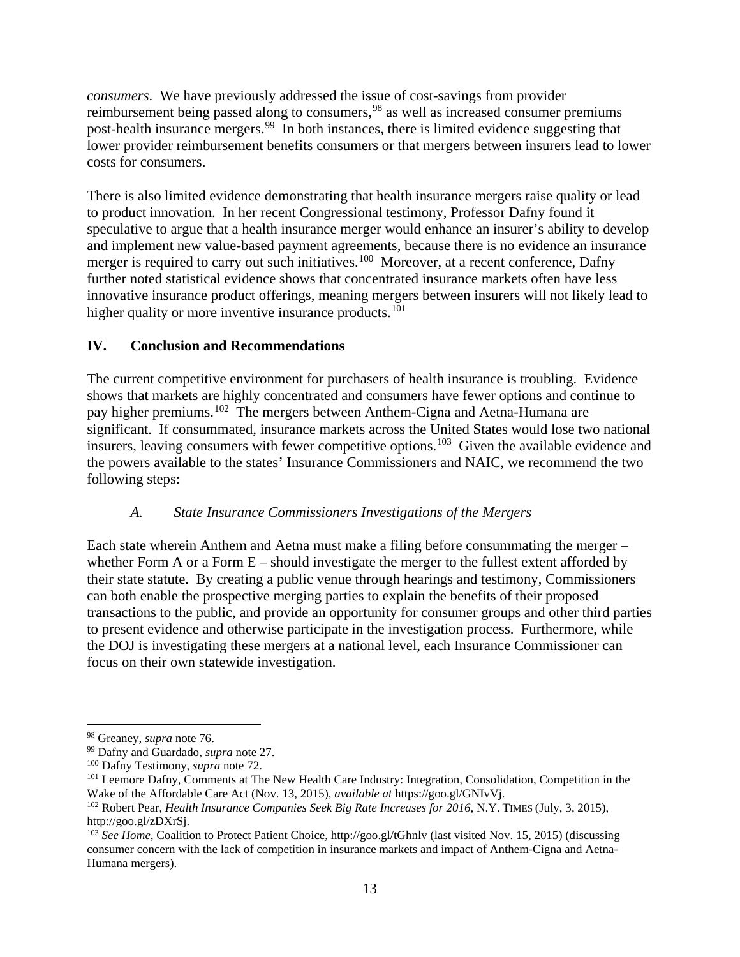*consumers*. We have previously addressed the issue of cost-savings from provider reimbursement being passed along to consumers, <sup>[98](#page-15-0)</sup> as well as increased consumer premiums post-health insurance mergers.<sup>[99](#page-15-1)</sup> In both instances, there is limited evidence suggesting that lower provider reimbursement benefits consumers or that mergers between insurers lead to lower costs for consumers.

There is also limited evidence demonstrating that health insurance mergers raise quality or lead to product innovation. In her recent Congressional testimony, Professor Dafny found it speculative to argue that a health insurance merger would enhance an insurer's ability to develop and implement new value-based payment agreements, because there is no evidence an insurance merger is required to carry out such initiatives.<sup>[100](#page-15-2)</sup> Moreover, at a recent conference, Dafny further noted statistical evidence shows that concentrated insurance markets often have less innovative insurance product offerings, meaning mergers between insurers will not likely lead to higher quality or more inventive insurance products.<sup>[101](#page-15-3)</sup>

# **IV. Conclusion and Recommendations**

The current competitive environment for purchasers of health insurance is troubling. Evidence shows that markets are highly concentrated and consumers have fewer options and continue to pay higher premiums.[102](#page-15-4) The mergers between Anthem-Cigna and Aetna-Humana are significant. If consummated, insurance markets across the United States would lose two national insurers, leaving consumers with fewer competitive options.<sup>103</sup> Given the available evidence and the powers available to the states' Insurance Commissioners and NAIC, we recommend the two following steps:

#### *A. State Insurance Commissioners Investigations of the Mergers*

Each state wherein Anthem and Aetna must make a filing before consummating the merger – whether Form A or a Form  $E$  – should investigate the merger to the fullest extent afforded by their state statute. By creating a public venue through hearings and testimony, Commissioners can both enable the prospective merging parties to explain the benefits of their proposed transactions to the public, and provide an opportunity for consumer groups and other third parties to present evidence and otherwise participate in the investigation process. Furthermore, while the DOJ is investigating these mergers at a national level, each Insurance Commissioner can focus on their own statewide investigation.

<span id="page-15-1"></span><span id="page-15-0"></span><sup>&</sup>lt;sup>98</sup> Greaney, *supra* note 76.<br><sup>99</sup> Dafny and Guardado, *supra* note 27.<br><sup>100</sup> Dafny Testimony, *supra* note 72.

<span id="page-15-3"></span><span id="page-15-2"></span><sup>&</sup>lt;sup>101</sup> Leemore Dafny, Comments at The New Health Care Industry: Integration, Consolidation, Competition in the Wake of the Affordable Care Act (Nov. 13, 2015), *available at* https://goo.gl/GNIvVj.

<span id="page-15-4"></span><sup>&</sup>lt;sup>102</sup> Robert Pear, *Health Insurance Companies Seek Big Rate Increases for 2016*, N.Y. TIMES (July, 3, 2015), http://goo.gl/zDXrSj.

<span id="page-15-5"></span><sup>103</sup> *See Home*, Coalition to Protect Patient Choice, http://goo.gl/tGhnlv (last visited Nov. 15, 2015) (discussing consumer concern with the lack of competition in insurance markets and impact of Anthem-Cigna and Aetna-Humana mergers).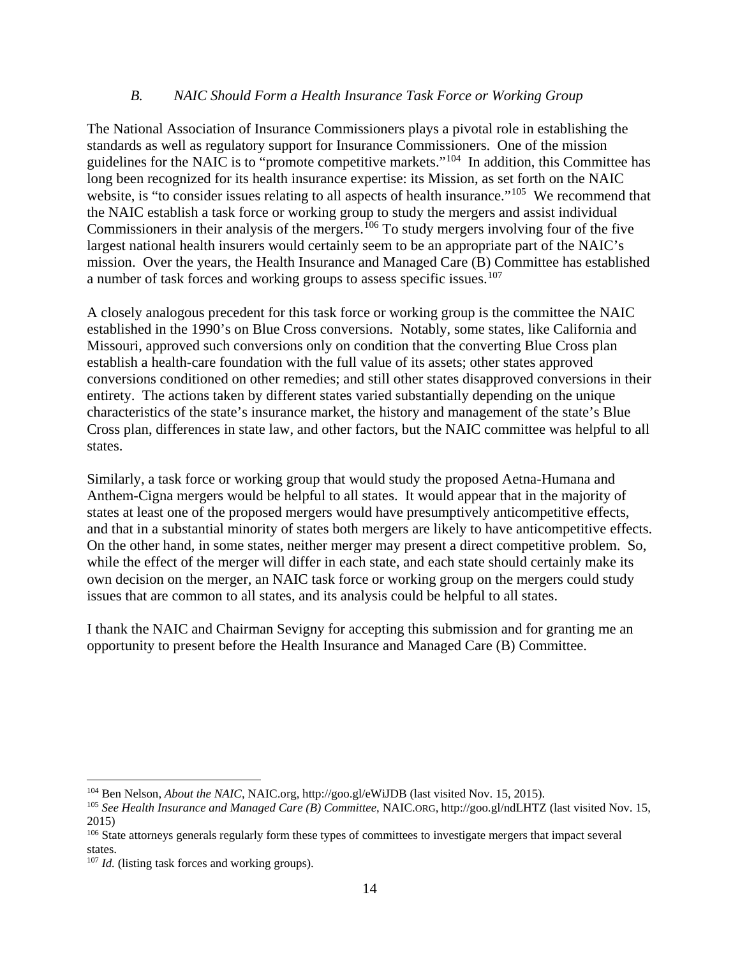#### *B. NAIC Should Form a Health Insurance Task Force or Working Group*

The National Association of Insurance Commissioners plays a pivotal role in establishing the standards as well as regulatory support for Insurance Commissioners. One of the mission guidelines for the NAIC is to "promote competitive markets."[104](#page-16-0) In addition, this Committee has long been recognized for its health insurance expertise: its Mission, as set forth on the NAIC website, is "to consider issues relating to all aspects of health insurance."<sup>[105](#page-16-1)</sup> We recommend that the NAIC establish a task force or working group to study the mergers and assist individual Commissioners in their analysis of the mergers.<sup>[106](#page-16-2)</sup> To study mergers involving four of the five largest national health insurers would certainly seem to be an appropriate part of the NAIC's mission. Over the years, the Health Insurance and Managed Care (B) Committee has established a number of task forces and working groups to assess specific issues.[107](#page-16-3)

A closely analogous precedent for this task force or working group is the committee the NAIC established in the 1990's on Blue Cross conversions. Notably, some states, like California and Missouri, approved such conversions only on condition that the converting Blue Cross plan establish a health-care foundation with the full value of its assets; other states approved conversions conditioned on other remedies; and still other states disapproved conversions in their entirety. The actions taken by different states varied substantially depending on the unique characteristics of the state's insurance market, the history and management of the state's Blue Cross plan, differences in state law, and other factors, but the NAIC committee was helpful to all states.

Similarly, a task force or working group that would study the proposed Aetna-Humana and Anthem-Cigna mergers would be helpful to all states. It would appear that in the majority of states at least one of the proposed mergers would have presumptively anticompetitive effects, and that in a substantial minority of states both mergers are likely to have anticompetitive effects. On the other hand, in some states, neither merger may present a direct competitive problem. So, while the effect of the merger will differ in each state, and each state should certainly make its own decision on the merger, an NAIC task force or working group on the mergers could study issues that are common to all states, and its analysis could be helpful to all states.

I thank the NAIC and Chairman Sevigny for accepting this submission and for granting me an opportunity to present before the Health Insurance and Managed Care (B) Committee.

<span id="page-16-1"></span><span id="page-16-0"></span><sup>&</sup>lt;sup>104</sup> Ben Nelson, *About the NAIC*, NAIC.org, http://goo.gl/eWiJDB (last visited Nov. 15, 2015).<br><sup>105</sup> *See Health Insurance and Managed Care (B) Committee*, NAIC.ORG, http://goo.gl/ndLHTZ (last visited Nov. 15, 2015)

<span id="page-16-2"></span><sup>&</sup>lt;sup>106</sup> State attorneys generals regularly form these types of committees to investigate mergers that impact several states.

<span id="page-16-3"></span><sup>&</sup>lt;sup>107</sup> *Id.* (listing task forces and working groups).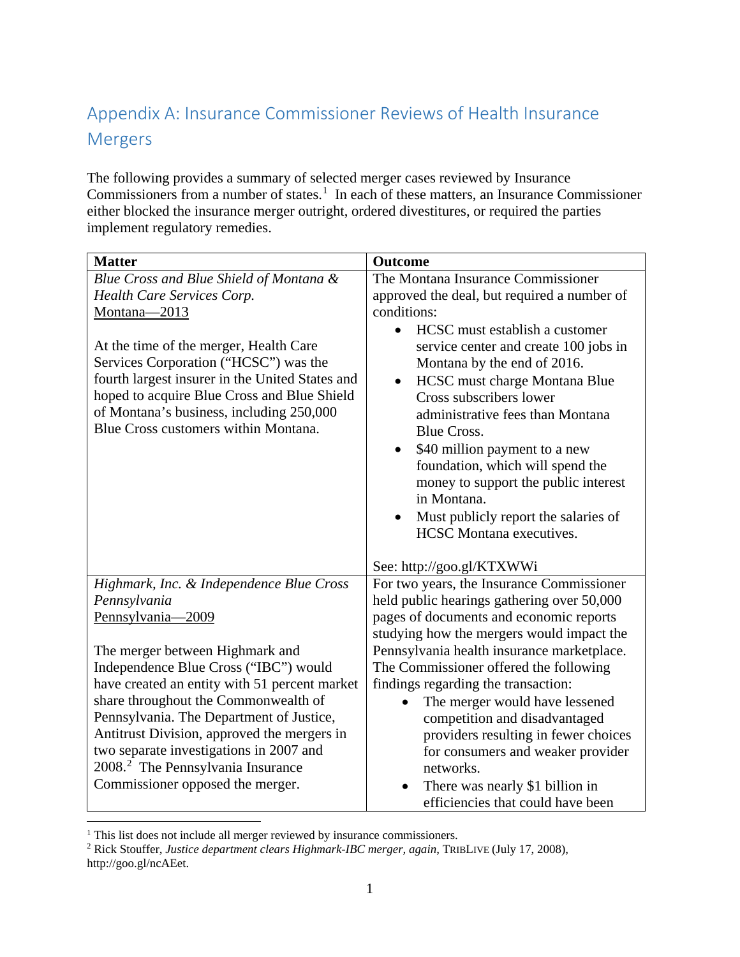# Appendix A: Insurance Commissioner Reviews of Health Insurance Mergers

The following provides a summary of selected merger cases reviewed by Insurance Commissioners from a number of states.<sup>[1](#page-17-0)</sup> In each of these matters, an Insurance Commissioner either blocked the insurance merger outright, ordered divestitures, or required the parties implement regulatory remedies.

| <b>Matter</b>                                                                                                                                                                                                                                                         | Outcome                                                                                                                                                                                                                                                                                                                                                                                                                                                                                 |
|-----------------------------------------------------------------------------------------------------------------------------------------------------------------------------------------------------------------------------------------------------------------------|-----------------------------------------------------------------------------------------------------------------------------------------------------------------------------------------------------------------------------------------------------------------------------------------------------------------------------------------------------------------------------------------------------------------------------------------------------------------------------------------|
| Blue Cross and Blue Shield of Montana &                                                                                                                                                                                                                               | The Montana Insurance Commissioner                                                                                                                                                                                                                                                                                                                                                                                                                                                      |
| Health Care Services Corp.                                                                                                                                                                                                                                            | approved the deal, but required a number of                                                                                                                                                                                                                                                                                                                                                                                                                                             |
| Montana-2013                                                                                                                                                                                                                                                          | conditions:                                                                                                                                                                                                                                                                                                                                                                                                                                                                             |
| At the time of the merger, Health Care<br>Services Corporation ("HCSC") was the<br>fourth largest insurer in the United States and<br>hoped to acquire Blue Cross and Blue Shield<br>of Montana's business, including 250,000<br>Blue Cross customers within Montana. | HCSC must establish a customer<br>$\bullet$<br>service center and create 100 jobs in<br>Montana by the end of 2016.<br>HCSC must charge Montana Blue<br>$\bullet$<br>Cross subscribers lower<br>administrative fees than Montana<br><b>Blue Cross.</b><br>\$40 million payment to a new<br>$\bullet$<br>foundation, which will spend the<br>money to support the public interest<br>in Montana.<br>Must publicly report the salaries of<br>$\bullet$<br><b>HCSC</b> Montana executives. |
|                                                                                                                                                                                                                                                                       | See: http://goo.gl/KTXWWi                                                                                                                                                                                                                                                                                                                                                                                                                                                               |
| Highmark, Inc. & Independence Blue Cross                                                                                                                                                                                                                              | For two years, the Insurance Commissioner                                                                                                                                                                                                                                                                                                                                                                                                                                               |
| Pennsylvania                                                                                                                                                                                                                                                          | held public hearings gathering over 50,000                                                                                                                                                                                                                                                                                                                                                                                                                                              |
| Pennsylvania-2009                                                                                                                                                                                                                                                     | pages of documents and economic reports                                                                                                                                                                                                                                                                                                                                                                                                                                                 |
|                                                                                                                                                                                                                                                                       | studying how the mergers would impact the                                                                                                                                                                                                                                                                                                                                                                                                                                               |
| The merger between Highmark and<br>Independence Blue Cross ("IBC") would                                                                                                                                                                                              | Pennsylvania health insurance marketplace.<br>The Commissioner offered the following                                                                                                                                                                                                                                                                                                                                                                                                    |
| have created an entity with 51 percent market                                                                                                                                                                                                                         | findings regarding the transaction:                                                                                                                                                                                                                                                                                                                                                                                                                                                     |
| share throughout the Commonwealth of                                                                                                                                                                                                                                  | The merger would have lessened                                                                                                                                                                                                                                                                                                                                                                                                                                                          |
| Pennsylvania. The Department of Justice,                                                                                                                                                                                                                              | competition and disadvantaged                                                                                                                                                                                                                                                                                                                                                                                                                                                           |
| Antitrust Division, approved the mergers in                                                                                                                                                                                                                           | providers resulting in fewer choices                                                                                                                                                                                                                                                                                                                                                                                                                                                    |
| two separate investigations in 2007 and                                                                                                                                                                                                                               | for consumers and weaker provider                                                                                                                                                                                                                                                                                                                                                                                                                                                       |
| 2008. <sup>2</sup> The Pennsylvania Insurance                                                                                                                                                                                                                         | networks.                                                                                                                                                                                                                                                                                                                                                                                                                                                                               |
| Commissioner opposed the merger.                                                                                                                                                                                                                                      | There was nearly \$1 billion in                                                                                                                                                                                                                                                                                                                                                                                                                                                         |
|                                                                                                                                                                                                                                                                       | efficiencies that could have been                                                                                                                                                                                                                                                                                                                                                                                                                                                       |

<span id="page-17-0"></span><sup>&</sup>lt;sup>1</sup> This list does not include all merger reviewed by insurance commissioners.

<span id="page-17-1"></span><sup>2</sup> Rick Stouffer, *Justice department clears Highmark-IBC merger, again*, TRIBLIVE (July 17, 2008), http://goo.gl/ncAEet.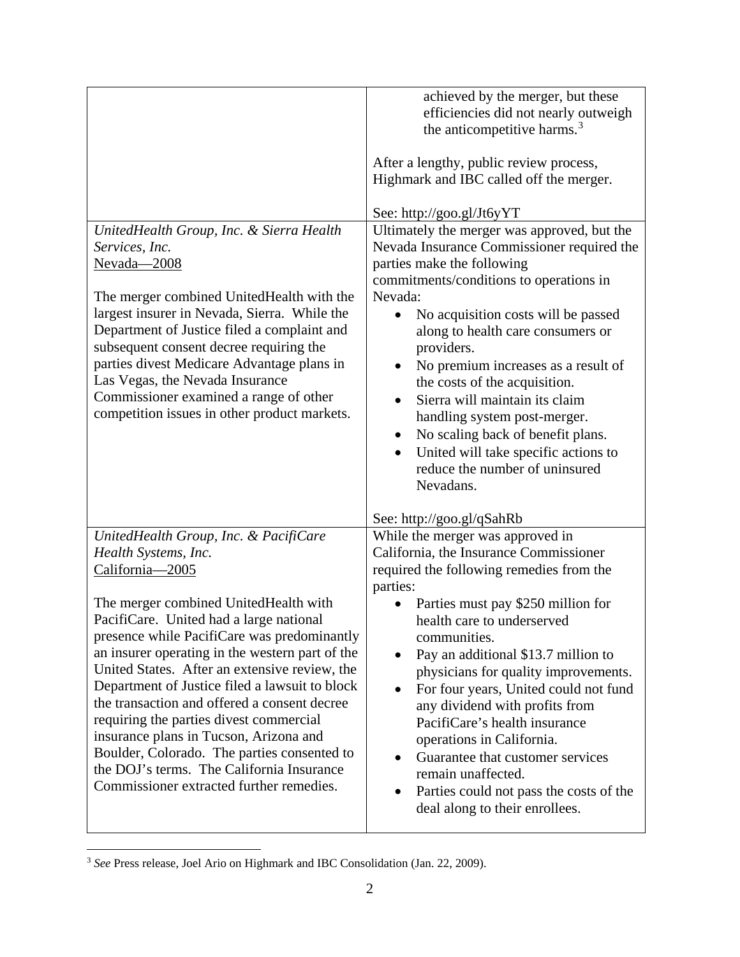|                                                                                                                                                                                                                                                                                                                                                                                                                                                                                                                                                                                                                                                        | achieved by the merger, but these<br>efficiencies did not nearly outweigh<br>the anticompetitive harms. <sup>3</sup><br>After a lengthy, public review process,<br>Highmark and IBC called off the merger.                                                                                                                                                                                                                                                                                                                                                                                                                                                |
|--------------------------------------------------------------------------------------------------------------------------------------------------------------------------------------------------------------------------------------------------------------------------------------------------------------------------------------------------------------------------------------------------------------------------------------------------------------------------------------------------------------------------------------------------------------------------------------------------------------------------------------------------------|-----------------------------------------------------------------------------------------------------------------------------------------------------------------------------------------------------------------------------------------------------------------------------------------------------------------------------------------------------------------------------------------------------------------------------------------------------------------------------------------------------------------------------------------------------------------------------------------------------------------------------------------------------------|
| UnitedHealth Group, Inc. & Sierra Health<br>Services, Inc.<br>Nevada-2008<br>The merger combined UnitedHealth with the<br>largest insurer in Nevada, Sierra. While the<br>Department of Justice filed a complaint and<br>subsequent consent decree requiring the<br>parties divest Medicare Advantage plans in<br>Las Vegas, the Nevada Insurance<br>Commissioner examined a range of other<br>competition issues in other product markets.                                                                                                                                                                                                            | See: http://goo.gl/Jt6yYT<br>Ultimately the merger was approved, but the<br>Nevada Insurance Commissioner required the<br>parties make the following<br>commitments/conditions to operations in<br>Nevada:<br>No acquisition costs will be passed<br>$\bullet$<br>along to health care consumers or<br>providers.<br>No premium increases as a result of<br>the costs of the acquisition.<br>Sierra will maintain its claim<br>handling system post-merger.<br>No scaling back of benefit plans.<br>٠<br>United will take specific actions to<br>reduce the number of uninsured<br>Nevadans.                                                              |
| UnitedHealth Group, Inc. & PacifiCare<br>Health Systems, Inc.<br>California-2005<br>The merger combined UnitedHealth with<br>PacifiCare. United had a large national<br>presence while PacifiCare was predominantly<br>an insurer operating in the western part of the<br>United States. After an extensive review, the<br>Department of Justice filed a lawsuit to block<br>the transaction and offered a consent decree<br>requiring the parties divest commercial<br>insurance plans in Tucson, Arizona and<br>Boulder, Colorado. The parties consented to<br>the DOJ's terms. The California Insurance<br>Commissioner extracted further remedies. | See: http://goo.gl/qSahRb<br>While the merger was approved in<br>California, the Insurance Commissioner<br>required the following remedies from the<br>parties:<br>Parties must pay \$250 million for<br>health care to underserved<br>communities.<br>Pay an additional \$13.7 million to<br>physicians for quality improvements.<br>For four years, United could not fund<br>$\bullet$<br>any dividend with profits from<br>PacifiCare's health insurance<br>operations in California.<br>Guarantee that customer services<br>$\bullet$<br>remain unaffected.<br>Parties could not pass the costs of the<br>$\bullet$<br>deal along to their enrollees. |

<span id="page-18-0"></span><sup>&</sup>lt;sup>3</sup> See Press release, Joel Ario on Highmark and IBC Consolidation (Jan. 22, 2009).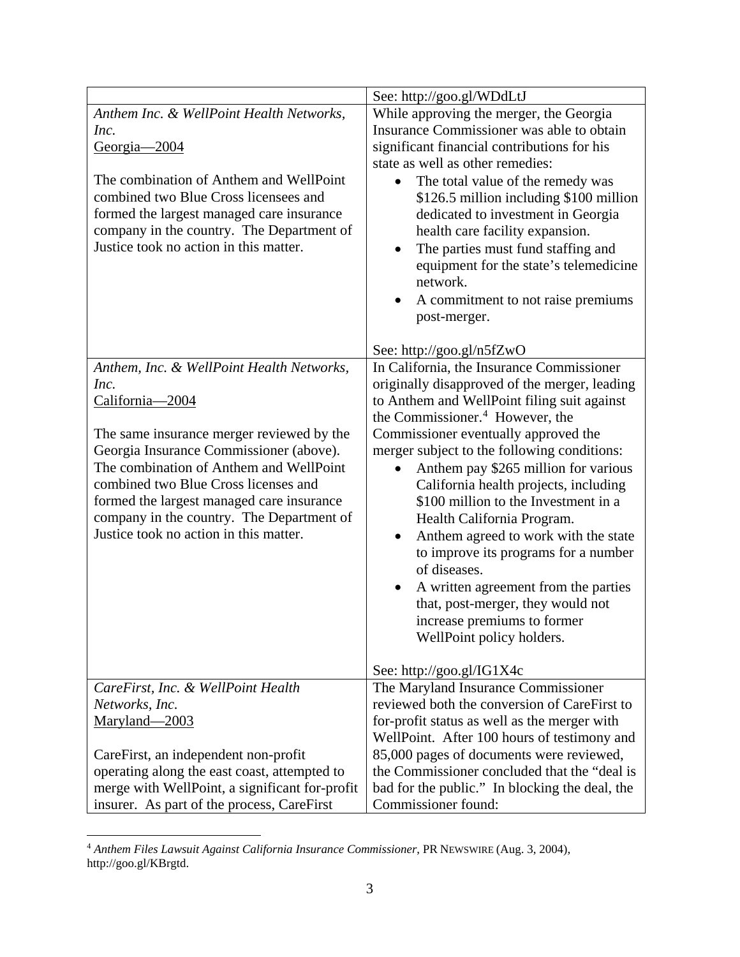| While approving the merger, the Georgia<br>Anthem Inc. & WellPoint Health Networks,<br>Insurance Commissioner was able to obtain<br>Inc.<br>significant financial contributions for his<br><u>Georgia—2004</u><br>state as well as other remedies:<br>The combination of Anthem and WellPoint<br>The total value of the remedy was<br>combined two Blue Cross licensees and<br>\$126.5 million including \$100 million<br>formed the largest managed care insurance<br>dedicated to investment in Georgia<br>company in the country. The Department of<br>health care facility expansion.<br>Justice took no action in this matter.<br>The parties must fund staffing and<br>$\bullet$<br>equipment for the state's telemedicine<br>network.<br>A commitment to not raise premiums<br>post-merger.<br>See: http://goo.gl/n5fZwO<br>In California, the Insurance Commissioner<br>Anthem, Inc. & WellPoint Health Networks,<br>originally disapproved of the merger, leading<br>Inc.<br>to Anthem and WellPoint filing suit against<br>California-2004<br>the Commissioner. <sup>4</sup> However, the<br>Commissioner eventually approved the<br>The same insurance merger reviewed by the<br>Georgia Insurance Commissioner (above).<br>merger subject to the following conditions:<br>The combination of Anthem and WellPoint<br>Anthem pay \$265 million for various<br>combined two Blue Cross licenses and<br>California health projects, including<br>formed the largest managed care insurance<br>\$100 million to the Investment in a<br>company in the country. The Department of<br>Health California Program.<br>Justice took no action in this matter.<br>Anthem agreed to work with the state<br>to improve its programs for a number<br>of diseases.<br>A written agreement from the parties<br>that, post-merger, they would not<br>increase premiums to former<br>WellPoint policy holders.<br>See: http://goo.gl/IG1X4c<br>The Maryland Insurance Commissioner<br>CareFirst, Inc. & WellPoint Health<br>reviewed both the conversion of CareFirst to<br>Networks, Inc.<br>Maryland-2003<br>for-profit status as well as the merger with<br>WellPoint. After 100 hours of testimony and<br>85,000 pages of documents were reviewed,<br>CareFirst, an independent non-profit<br>the Commissioner concluded that the "deal is<br>operating along the east coast, attempted to |                                                |                                                |
|-------------------------------------------------------------------------------------------------------------------------------------------------------------------------------------------------------------------------------------------------------------------------------------------------------------------------------------------------------------------------------------------------------------------------------------------------------------------------------------------------------------------------------------------------------------------------------------------------------------------------------------------------------------------------------------------------------------------------------------------------------------------------------------------------------------------------------------------------------------------------------------------------------------------------------------------------------------------------------------------------------------------------------------------------------------------------------------------------------------------------------------------------------------------------------------------------------------------------------------------------------------------------------------------------------------------------------------------------------------------------------------------------------------------------------------------------------------------------------------------------------------------------------------------------------------------------------------------------------------------------------------------------------------------------------------------------------------------------------------------------------------------------------------------------------------------------------------------------------------------------------------------------------------------------------------------------------------------------------------------------------------------------------------------------------------------------------------------------------------------------------------------------------------------------------------------------------------------------------------------------------------------------------------------------------------------------------------------------------------------------------------------|------------------------------------------------|------------------------------------------------|
|                                                                                                                                                                                                                                                                                                                                                                                                                                                                                                                                                                                                                                                                                                                                                                                                                                                                                                                                                                                                                                                                                                                                                                                                                                                                                                                                                                                                                                                                                                                                                                                                                                                                                                                                                                                                                                                                                                                                                                                                                                                                                                                                                                                                                                                                                                                                                                                           |                                                | See: http://goo.gl/WDdLtJ                      |
|                                                                                                                                                                                                                                                                                                                                                                                                                                                                                                                                                                                                                                                                                                                                                                                                                                                                                                                                                                                                                                                                                                                                                                                                                                                                                                                                                                                                                                                                                                                                                                                                                                                                                                                                                                                                                                                                                                                                                                                                                                                                                                                                                                                                                                                                                                                                                                                           |                                                |                                                |
|                                                                                                                                                                                                                                                                                                                                                                                                                                                                                                                                                                                                                                                                                                                                                                                                                                                                                                                                                                                                                                                                                                                                                                                                                                                                                                                                                                                                                                                                                                                                                                                                                                                                                                                                                                                                                                                                                                                                                                                                                                                                                                                                                                                                                                                                                                                                                                                           |                                                |                                                |
|                                                                                                                                                                                                                                                                                                                                                                                                                                                                                                                                                                                                                                                                                                                                                                                                                                                                                                                                                                                                                                                                                                                                                                                                                                                                                                                                                                                                                                                                                                                                                                                                                                                                                                                                                                                                                                                                                                                                                                                                                                                                                                                                                                                                                                                                                                                                                                                           |                                                |                                                |
|                                                                                                                                                                                                                                                                                                                                                                                                                                                                                                                                                                                                                                                                                                                                                                                                                                                                                                                                                                                                                                                                                                                                                                                                                                                                                                                                                                                                                                                                                                                                                                                                                                                                                                                                                                                                                                                                                                                                                                                                                                                                                                                                                                                                                                                                                                                                                                                           |                                                |                                                |
|                                                                                                                                                                                                                                                                                                                                                                                                                                                                                                                                                                                                                                                                                                                                                                                                                                                                                                                                                                                                                                                                                                                                                                                                                                                                                                                                                                                                                                                                                                                                                                                                                                                                                                                                                                                                                                                                                                                                                                                                                                                                                                                                                                                                                                                                                                                                                                                           |                                                |                                                |
|                                                                                                                                                                                                                                                                                                                                                                                                                                                                                                                                                                                                                                                                                                                                                                                                                                                                                                                                                                                                                                                                                                                                                                                                                                                                                                                                                                                                                                                                                                                                                                                                                                                                                                                                                                                                                                                                                                                                                                                                                                                                                                                                                                                                                                                                                                                                                                                           |                                                |                                                |
|                                                                                                                                                                                                                                                                                                                                                                                                                                                                                                                                                                                                                                                                                                                                                                                                                                                                                                                                                                                                                                                                                                                                                                                                                                                                                                                                                                                                                                                                                                                                                                                                                                                                                                                                                                                                                                                                                                                                                                                                                                                                                                                                                                                                                                                                                                                                                                                           |                                                |                                                |
|                                                                                                                                                                                                                                                                                                                                                                                                                                                                                                                                                                                                                                                                                                                                                                                                                                                                                                                                                                                                                                                                                                                                                                                                                                                                                                                                                                                                                                                                                                                                                                                                                                                                                                                                                                                                                                                                                                                                                                                                                                                                                                                                                                                                                                                                                                                                                                                           |                                                |                                                |
|                                                                                                                                                                                                                                                                                                                                                                                                                                                                                                                                                                                                                                                                                                                                                                                                                                                                                                                                                                                                                                                                                                                                                                                                                                                                                                                                                                                                                                                                                                                                                                                                                                                                                                                                                                                                                                                                                                                                                                                                                                                                                                                                                                                                                                                                                                                                                                                           |                                                |                                                |
|                                                                                                                                                                                                                                                                                                                                                                                                                                                                                                                                                                                                                                                                                                                                                                                                                                                                                                                                                                                                                                                                                                                                                                                                                                                                                                                                                                                                                                                                                                                                                                                                                                                                                                                                                                                                                                                                                                                                                                                                                                                                                                                                                                                                                                                                                                                                                                                           |                                                |                                                |
|                                                                                                                                                                                                                                                                                                                                                                                                                                                                                                                                                                                                                                                                                                                                                                                                                                                                                                                                                                                                                                                                                                                                                                                                                                                                                                                                                                                                                                                                                                                                                                                                                                                                                                                                                                                                                                                                                                                                                                                                                                                                                                                                                                                                                                                                                                                                                                                           |                                                |                                                |
|                                                                                                                                                                                                                                                                                                                                                                                                                                                                                                                                                                                                                                                                                                                                                                                                                                                                                                                                                                                                                                                                                                                                                                                                                                                                                                                                                                                                                                                                                                                                                                                                                                                                                                                                                                                                                                                                                                                                                                                                                                                                                                                                                                                                                                                                                                                                                                                           |                                                |                                                |
|                                                                                                                                                                                                                                                                                                                                                                                                                                                                                                                                                                                                                                                                                                                                                                                                                                                                                                                                                                                                                                                                                                                                                                                                                                                                                                                                                                                                                                                                                                                                                                                                                                                                                                                                                                                                                                                                                                                                                                                                                                                                                                                                                                                                                                                                                                                                                                                           |                                                |                                                |
|                                                                                                                                                                                                                                                                                                                                                                                                                                                                                                                                                                                                                                                                                                                                                                                                                                                                                                                                                                                                                                                                                                                                                                                                                                                                                                                                                                                                                                                                                                                                                                                                                                                                                                                                                                                                                                                                                                                                                                                                                                                                                                                                                                                                                                                                                                                                                                                           |                                                |                                                |
|                                                                                                                                                                                                                                                                                                                                                                                                                                                                                                                                                                                                                                                                                                                                                                                                                                                                                                                                                                                                                                                                                                                                                                                                                                                                                                                                                                                                                                                                                                                                                                                                                                                                                                                                                                                                                                                                                                                                                                                                                                                                                                                                                                                                                                                                                                                                                                                           |                                                |                                                |
|                                                                                                                                                                                                                                                                                                                                                                                                                                                                                                                                                                                                                                                                                                                                                                                                                                                                                                                                                                                                                                                                                                                                                                                                                                                                                                                                                                                                                                                                                                                                                                                                                                                                                                                                                                                                                                                                                                                                                                                                                                                                                                                                                                                                                                                                                                                                                                                           |                                                |                                                |
|                                                                                                                                                                                                                                                                                                                                                                                                                                                                                                                                                                                                                                                                                                                                                                                                                                                                                                                                                                                                                                                                                                                                                                                                                                                                                                                                                                                                                                                                                                                                                                                                                                                                                                                                                                                                                                                                                                                                                                                                                                                                                                                                                                                                                                                                                                                                                                                           |                                                |                                                |
|                                                                                                                                                                                                                                                                                                                                                                                                                                                                                                                                                                                                                                                                                                                                                                                                                                                                                                                                                                                                                                                                                                                                                                                                                                                                                                                                                                                                                                                                                                                                                                                                                                                                                                                                                                                                                                                                                                                                                                                                                                                                                                                                                                                                                                                                                                                                                                                           |                                                |                                                |
|                                                                                                                                                                                                                                                                                                                                                                                                                                                                                                                                                                                                                                                                                                                                                                                                                                                                                                                                                                                                                                                                                                                                                                                                                                                                                                                                                                                                                                                                                                                                                                                                                                                                                                                                                                                                                                                                                                                                                                                                                                                                                                                                                                                                                                                                                                                                                                                           |                                                |                                                |
|                                                                                                                                                                                                                                                                                                                                                                                                                                                                                                                                                                                                                                                                                                                                                                                                                                                                                                                                                                                                                                                                                                                                                                                                                                                                                                                                                                                                                                                                                                                                                                                                                                                                                                                                                                                                                                                                                                                                                                                                                                                                                                                                                                                                                                                                                                                                                                                           |                                                |                                                |
|                                                                                                                                                                                                                                                                                                                                                                                                                                                                                                                                                                                                                                                                                                                                                                                                                                                                                                                                                                                                                                                                                                                                                                                                                                                                                                                                                                                                                                                                                                                                                                                                                                                                                                                                                                                                                                                                                                                                                                                                                                                                                                                                                                                                                                                                                                                                                                                           |                                                |                                                |
|                                                                                                                                                                                                                                                                                                                                                                                                                                                                                                                                                                                                                                                                                                                                                                                                                                                                                                                                                                                                                                                                                                                                                                                                                                                                                                                                                                                                                                                                                                                                                                                                                                                                                                                                                                                                                                                                                                                                                                                                                                                                                                                                                                                                                                                                                                                                                                                           |                                                |                                                |
|                                                                                                                                                                                                                                                                                                                                                                                                                                                                                                                                                                                                                                                                                                                                                                                                                                                                                                                                                                                                                                                                                                                                                                                                                                                                                                                                                                                                                                                                                                                                                                                                                                                                                                                                                                                                                                                                                                                                                                                                                                                                                                                                                                                                                                                                                                                                                                                           |                                                |                                                |
|                                                                                                                                                                                                                                                                                                                                                                                                                                                                                                                                                                                                                                                                                                                                                                                                                                                                                                                                                                                                                                                                                                                                                                                                                                                                                                                                                                                                                                                                                                                                                                                                                                                                                                                                                                                                                                                                                                                                                                                                                                                                                                                                                                                                                                                                                                                                                                                           |                                                |                                                |
|                                                                                                                                                                                                                                                                                                                                                                                                                                                                                                                                                                                                                                                                                                                                                                                                                                                                                                                                                                                                                                                                                                                                                                                                                                                                                                                                                                                                                                                                                                                                                                                                                                                                                                                                                                                                                                                                                                                                                                                                                                                                                                                                                                                                                                                                                                                                                                                           |                                                |                                                |
|                                                                                                                                                                                                                                                                                                                                                                                                                                                                                                                                                                                                                                                                                                                                                                                                                                                                                                                                                                                                                                                                                                                                                                                                                                                                                                                                                                                                                                                                                                                                                                                                                                                                                                                                                                                                                                                                                                                                                                                                                                                                                                                                                                                                                                                                                                                                                                                           |                                                |                                                |
|                                                                                                                                                                                                                                                                                                                                                                                                                                                                                                                                                                                                                                                                                                                                                                                                                                                                                                                                                                                                                                                                                                                                                                                                                                                                                                                                                                                                                                                                                                                                                                                                                                                                                                                                                                                                                                                                                                                                                                                                                                                                                                                                                                                                                                                                                                                                                                                           |                                                |                                                |
|                                                                                                                                                                                                                                                                                                                                                                                                                                                                                                                                                                                                                                                                                                                                                                                                                                                                                                                                                                                                                                                                                                                                                                                                                                                                                                                                                                                                                                                                                                                                                                                                                                                                                                                                                                                                                                                                                                                                                                                                                                                                                                                                                                                                                                                                                                                                                                                           |                                                |                                                |
|                                                                                                                                                                                                                                                                                                                                                                                                                                                                                                                                                                                                                                                                                                                                                                                                                                                                                                                                                                                                                                                                                                                                                                                                                                                                                                                                                                                                                                                                                                                                                                                                                                                                                                                                                                                                                                                                                                                                                                                                                                                                                                                                                                                                                                                                                                                                                                                           |                                                |                                                |
|                                                                                                                                                                                                                                                                                                                                                                                                                                                                                                                                                                                                                                                                                                                                                                                                                                                                                                                                                                                                                                                                                                                                                                                                                                                                                                                                                                                                                                                                                                                                                                                                                                                                                                                                                                                                                                                                                                                                                                                                                                                                                                                                                                                                                                                                                                                                                                                           |                                                |                                                |
|                                                                                                                                                                                                                                                                                                                                                                                                                                                                                                                                                                                                                                                                                                                                                                                                                                                                                                                                                                                                                                                                                                                                                                                                                                                                                                                                                                                                                                                                                                                                                                                                                                                                                                                                                                                                                                                                                                                                                                                                                                                                                                                                                                                                                                                                                                                                                                                           |                                                |                                                |
|                                                                                                                                                                                                                                                                                                                                                                                                                                                                                                                                                                                                                                                                                                                                                                                                                                                                                                                                                                                                                                                                                                                                                                                                                                                                                                                                                                                                                                                                                                                                                                                                                                                                                                                                                                                                                                                                                                                                                                                                                                                                                                                                                                                                                                                                                                                                                                                           |                                                |                                                |
|                                                                                                                                                                                                                                                                                                                                                                                                                                                                                                                                                                                                                                                                                                                                                                                                                                                                                                                                                                                                                                                                                                                                                                                                                                                                                                                                                                                                                                                                                                                                                                                                                                                                                                                                                                                                                                                                                                                                                                                                                                                                                                                                                                                                                                                                                                                                                                                           |                                                |                                                |
|                                                                                                                                                                                                                                                                                                                                                                                                                                                                                                                                                                                                                                                                                                                                                                                                                                                                                                                                                                                                                                                                                                                                                                                                                                                                                                                                                                                                                                                                                                                                                                                                                                                                                                                                                                                                                                                                                                                                                                                                                                                                                                                                                                                                                                                                                                                                                                                           |                                                |                                                |
|                                                                                                                                                                                                                                                                                                                                                                                                                                                                                                                                                                                                                                                                                                                                                                                                                                                                                                                                                                                                                                                                                                                                                                                                                                                                                                                                                                                                                                                                                                                                                                                                                                                                                                                                                                                                                                                                                                                                                                                                                                                                                                                                                                                                                                                                                                                                                                                           |                                                |                                                |
|                                                                                                                                                                                                                                                                                                                                                                                                                                                                                                                                                                                                                                                                                                                                                                                                                                                                                                                                                                                                                                                                                                                                                                                                                                                                                                                                                                                                                                                                                                                                                                                                                                                                                                                                                                                                                                                                                                                                                                                                                                                                                                                                                                                                                                                                                                                                                                                           |                                                |                                                |
|                                                                                                                                                                                                                                                                                                                                                                                                                                                                                                                                                                                                                                                                                                                                                                                                                                                                                                                                                                                                                                                                                                                                                                                                                                                                                                                                                                                                                                                                                                                                                                                                                                                                                                                                                                                                                                                                                                                                                                                                                                                                                                                                                                                                                                                                                                                                                                                           |                                                |                                                |
|                                                                                                                                                                                                                                                                                                                                                                                                                                                                                                                                                                                                                                                                                                                                                                                                                                                                                                                                                                                                                                                                                                                                                                                                                                                                                                                                                                                                                                                                                                                                                                                                                                                                                                                                                                                                                                                                                                                                                                                                                                                                                                                                                                                                                                                                                                                                                                                           |                                                |                                                |
|                                                                                                                                                                                                                                                                                                                                                                                                                                                                                                                                                                                                                                                                                                                                                                                                                                                                                                                                                                                                                                                                                                                                                                                                                                                                                                                                                                                                                                                                                                                                                                                                                                                                                                                                                                                                                                                                                                                                                                                                                                                                                                                                                                                                                                                                                                                                                                                           |                                                |                                                |
|                                                                                                                                                                                                                                                                                                                                                                                                                                                                                                                                                                                                                                                                                                                                                                                                                                                                                                                                                                                                                                                                                                                                                                                                                                                                                                                                                                                                                                                                                                                                                                                                                                                                                                                                                                                                                                                                                                                                                                                                                                                                                                                                                                                                                                                                                                                                                                                           |                                                |                                                |
|                                                                                                                                                                                                                                                                                                                                                                                                                                                                                                                                                                                                                                                                                                                                                                                                                                                                                                                                                                                                                                                                                                                                                                                                                                                                                                                                                                                                                                                                                                                                                                                                                                                                                                                                                                                                                                                                                                                                                                                                                                                                                                                                                                                                                                                                                                                                                                                           |                                                |                                                |
|                                                                                                                                                                                                                                                                                                                                                                                                                                                                                                                                                                                                                                                                                                                                                                                                                                                                                                                                                                                                                                                                                                                                                                                                                                                                                                                                                                                                                                                                                                                                                                                                                                                                                                                                                                                                                                                                                                                                                                                                                                                                                                                                                                                                                                                                                                                                                                                           |                                                |                                                |
|                                                                                                                                                                                                                                                                                                                                                                                                                                                                                                                                                                                                                                                                                                                                                                                                                                                                                                                                                                                                                                                                                                                                                                                                                                                                                                                                                                                                                                                                                                                                                                                                                                                                                                                                                                                                                                                                                                                                                                                                                                                                                                                                                                                                                                                                                                                                                                                           |                                                |                                                |
|                                                                                                                                                                                                                                                                                                                                                                                                                                                                                                                                                                                                                                                                                                                                                                                                                                                                                                                                                                                                                                                                                                                                                                                                                                                                                                                                                                                                                                                                                                                                                                                                                                                                                                                                                                                                                                                                                                                                                                                                                                                                                                                                                                                                                                                                                                                                                                                           | merge with WellPoint, a significant for-profit | bad for the public." In blocking the deal, the |
| Commissioner found:<br>insurer. As part of the process, CareFirst                                                                                                                                                                                                                                                                                                                                                                                                                                                                                                                                                                                                                                                                                                                                                                                                                                                                                                                                                                                                                                                                                                                                                                                                                                                                                                                                                                                                                                                                                                                                                                                                                                                                                                                                                                                                                                                                                                                                                                                                                                                                                                                                                                                                                                                                                                                         |                                                |                                                |

<span id="page-19-0"></span> <sup>4</sup> *Anthem Files Lawsuit Against California Insurance Commissioner*, PR NEWSWIRE (Aug. 3, 2004), http://goo.gl/KBrgtd.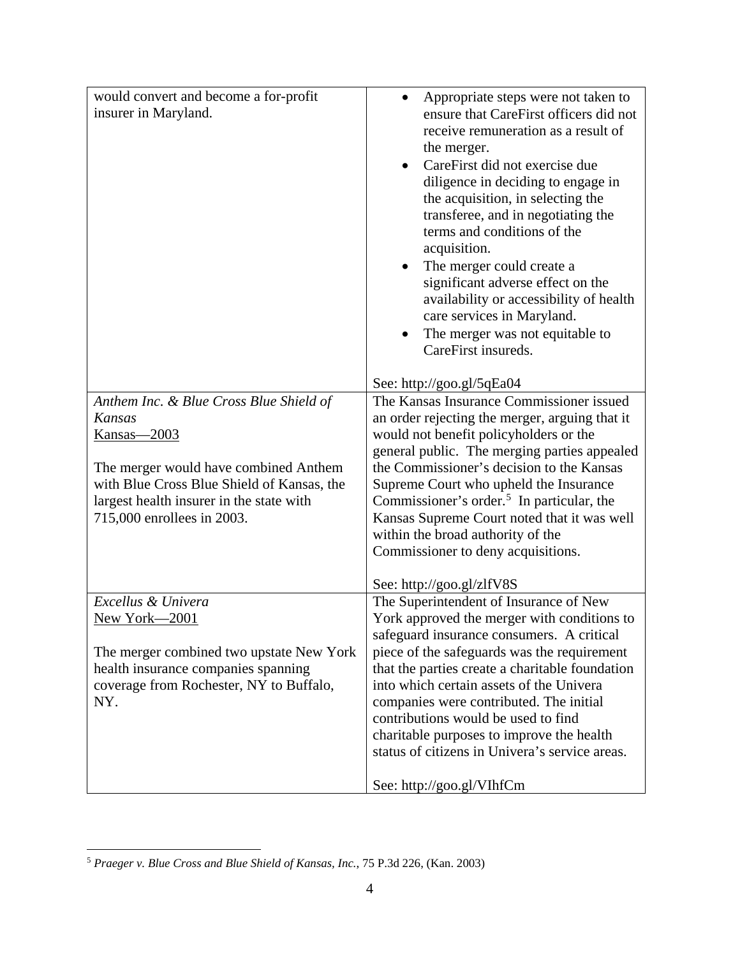| would convert and become a for-profit<br>insurer in Maryland. | Appropriate steps were not taken to<br>$\bullet$<br>ensure that CareFirst officers did not<br>receive remuneration as a result of<br>the merger.<br>CareFirst did not exercise due<br>diligence in deciding to engage in<br>the acquisition, in selecting the<br>transferee, and in negotiating the<br>terms and conditions of the<br>acquisition.<br>The merger could create a<br>significant adverse effect on the<br>availability or accessibility of health<br>care services in Maryland.<br>The merger was not equitable to |
|---------------------------------------------------------------|----------------------------------------------------------------------------------------------------------------------------------------------------------------------------------------------------------------------------------------------------------------------------------------------------------------------------------------------------------------------------------------------------------------------------------------------------------------------------------------------------------------------------------|
|                                                               | CareFirst insureds.<br>See: http://goo.gl/5qEa04                                                                                                                                                                                                                                                                                                                                                                                                                                                                                 |
| Anthem Inc. & Blue Cross Blue Shield of                       | The Kansas Insurance Commissioner issued                                                                                                                                                                                                                                                                                                                                                                                                                                                                                         |
| Kansas                                                        | an order rejecting the merger, arguing that it                                                                                                                                                                                                                                                                                                                                                                                                                                                                                   |
| <u>Kansas—2003</u>                                            | would not benefit policyholders or the                                                                                                                                                                                                                                                                                                                                                                                                                                                                                           |
|                                                               | general public. The merging parties appealed                                                                                                                                                                                                                                                                                                                                                                                                                                                                                     |
| The merger would have combined Anthem                         | the Commissioner's decision to the Kansas                                                                                                                                                                                                                                                                                                                                                                                                                                                                                        |
| with Blue Cross Blue Shield of Kansas, the                    | Supreme Court who upheld the Insurance                                                                                                                                                                                                                                                                                                                                                                                                                                                                                           |
| largest health insurer in the state with                      | Commissioner's order. <sup>5</sup> In particular, the                                                                                                                                                                                                                                                                                                                                                                                                                                                                            |
| 715,000 enrollees in 2003.                                    | Kansas Supreme Court noted that it was well                                                                                                                                                                                                                                                                                                                                                                                                                                                                                      |
|                                                               | within the broad authority of the                                                                                                                                                                                                                                                                                                                                                                                                                                                                                                |
|                                                               | Commissioner to deny acquisitions.                                                                                                                                                                                                                                                                                                                                                                                                                                                                                               |
|                                                               |                                                                                                                                                                                                                                                                                                                                                                                                                                                                                                                                  |
|                                                               | See: http://goo.gl/zlfV8S                                                                                                                                                                                                                                                                                                                                                                                                                                                                                                        |
| Excellus & Univera                                            | The Superintendent of Insurance of New                                                                                                                                                                                                                                                                                                                                                                                                                                                                                           |
| New York–2001                                                 | York approved the merger with conditions to                                                                                                                                                                                                                                                                                                                                                                                                                                                                                      |
|                                                               | safeguard insurance consumers. A critical                                                                                                                                                                                                                                                                                                                                                                                                                                                                                        |
| The merger combined two upstate New York                      | piece of the safeguards was the requirement                                                                                                                                                                                                                                                                                                                                                                                                                                                                                      |
| health insurance companies spanning                           | that the parties create a charitable foundation                                                                                                                                                                                                                                                                                                                                                                                                                                                                                  |
| coverage from Rochester, NY to Buffalo,                       | into which certain assets of the Univera                                                                                                                                                                                                                                                                                                                                                                                                                                                                                         |
| NY.                                                           | companies were contributed. The initial                                                                                                                                                                                                                                                                                                                                                                                                                                                                                          |
|                                                               | contributions would be used to find                                                                                                                                                                                                                                                                                                                                                                                                                                                                                              |
|                                                               | charitable purposes to improve the health                                                                                                                                                                                                                                                                                                                                                                                                                                                                                        |
|                                                               | status of citizens in Univera's service areas.                                                                                                                                                                                                                                                                                                                                                                                                                                                                                   |
|                                                               | See: http://goo.gl/VIhfCm                                                                                                                                                                                                                                                                                                                                                                                                                                                                                                        |

<span id="page-20-0"></span> <sup>5</sup> *Praeger v. Blue Cross and Blue Shield of Kansas, Inc.*, 75 P.3d 226, (Kan. 2003)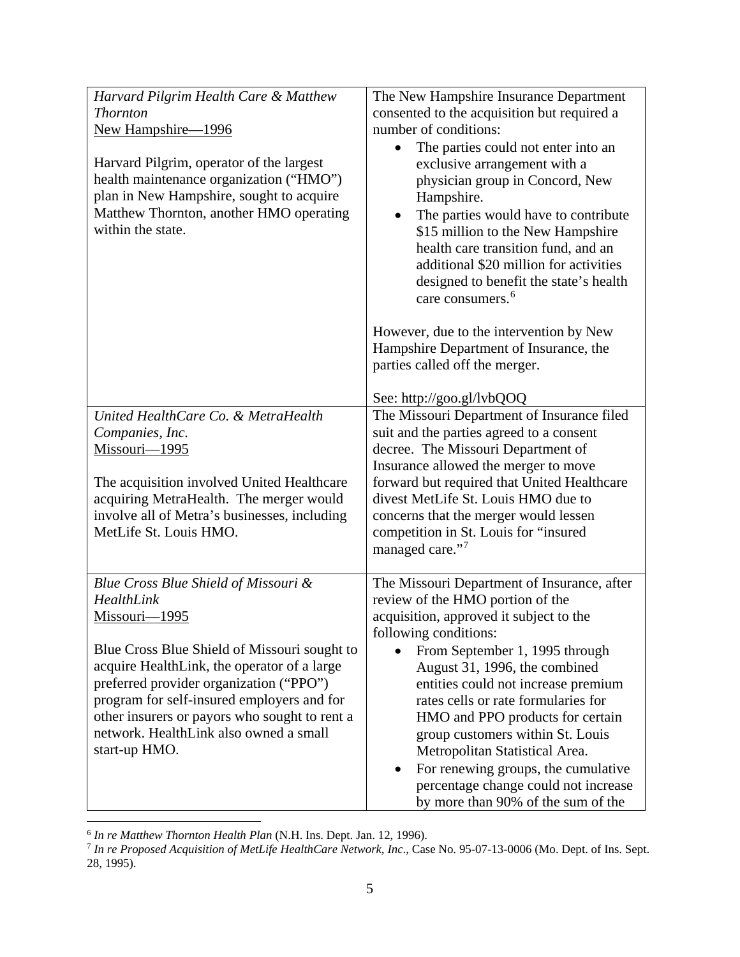| Harvard Pilgrim Health Care & Matthew<br><b>Thornton</b><br>New Hampshire-1996<br>Harvard Pilgrim, operator of the largest<br>health maintenance organization ("HMO")<br>plan in New Hampshire, sought to acquire<br>Matthew Thornton, another HMO operating<br>within the state. | The New Hampshire Insurance Department<br>consented to the acquisition but required a<br>number of conditions:<br>The parties could not enter into an<br>exclusive arrangement with a<br>physician group in Concord, New<br>Hampshire.<br>The parties would have to contribute<br>\$15 million to the New Hampshire<br>health care transition fund, and an |
|-----------------------------------------------------------------------------------------------------------------------------------------------------------------------------------------------------------------------------------------------------------------------------------|------------------------------------------------------------------------------------------------------------------------------------------------------------------------------------------------------------------------------------------------------------------------------------------------------------------------------------------------------------|
|                                                                                                                                                                                                                                                                                   | additional \$20 million for activities<br>designed to benefit the state's health<br>care consumers. <sup>6</sup><br>However, due to the intervention by New<br>Hampshire Department of Insurance, the<br>parties called off the merger.<br>See: http://goo.gl/lvbQOQ                                                                                       |
| United HealthCare Co. & MetraHealth                                                                                                                                                                                                                                               | The Missouri Department of Insurance filed                                                                                                                                                                                                                                                                                                                 |
| Companies, Inc.<br>Missouri-1995                                                                                                                                                                                                                                                  | suit and the parties agreed to a consent<br>decree. The Missouri Department of                                                                                                                                                                                                                                                                             |
|                                                                                                                                                                                                                                                                                   | Insurance allowed the merger to move                                                                                                                                                                                                                                                                                                                       |
| The acquisition involved United Healthcare                                                                                                                                                                                                                                        | forward but required that United Healthcare                                                                                                                                                                                                                                                                                                                |
| acquiring MetraHealth. The merger would                                                                                                                                                                                                                                           | divest MetLife St. Louis HMO due to                                                                                                                                                                                                                                                                                                                        |
| involve all of Metra's businesses, including<br>MetLife St. Louis HMO.                                                                                                                                                                                                            | concerns that the merger would lessen<br>competition in St. Louis for "insured                                                                                                                                                                                                                                                                             |
|                                                                                                                                                                                                                                                                                   | managed care."7                                                                                                                                                                                                                                                                                                                                            |
|                                                                                                                                                                                                                                                                                   | The Missouri Department of Insurance, after                                                                                                                                                                                                                                                                                                                |
| Blue Cross Blue Shield of Missouri &<br>HealthLink                                                                                                                                                                                                                                | review of the HMO portion of the                                                                                                                                                                                                                                                                                                                           |
| Missouri-1995                                                                                                                                                                                                                                                                     | acquisition, approved it subject to the                                                                                                                                                                                                                                                                                                                    |
|                                                                                                                                                                                                                                                                                   | following conditions:                                                                                                                                                                                                                                                                                                                                      |
| Blue Cross Blue Shield of Missouri sought to<br>acquire HealthLink, the operator of a large                                                                                                                                                                                       | From September 1, 1995 through<br>August 31, 1996, the combined                                                                                                                                                                                                                                                                                            |
| preferred provider organization ("PPO")                                                                                                                                                                                                                                           | entities could not increase premium                                                                                                                                                                                                                                                                                                                        |
| program for self-insured employers and for                                                                                                                                                                                                                                        | rates cells or rate formularies for                                                                                                                                                                                                                                                                                                                        |
| other insurers or payors who sought to rent a                                                                                                                                                                                                                                     | HMO and PPO products for certain                                                                                                                                                                                                                                                                                                                           |
| network. HealthLink also owned a small<br>start-up HMO.                                                                                                                                                                                                                           | group customers within St. Louis<br>Metropolitan Statistical Area.                                                                                                                                                                                                                                                                                         |
|                                                                                                                                                                                                                                                                                   | For renewing groups, the cumulative<br>$\bullet$                                                                                                                                                                                                                                                                                                           |
|                                                                                                                                                                                                                                                                                   | percentage change could not increase                                                                                                                                                                                                                                                                                                                       |
|                                                                                                                                                                                                                                                                                   | by more than 90% of the sum of the                                                                                                                                                                                                                                                                                                                         |

 <sup>6</sup> *In re Matthew Thornton Health Plan* (N.H. Ins. Dept. Jan. 12, 1996).

<span id="page-21-1"></span><span id="page-21-0"></span><sup>7</sup> *In re Proposed Acquisition of MetLife HealthCare Network, Inc*., Case No. 95-07-13-0006 (Mo. Dept. of Ins. Sept. 28, 1995).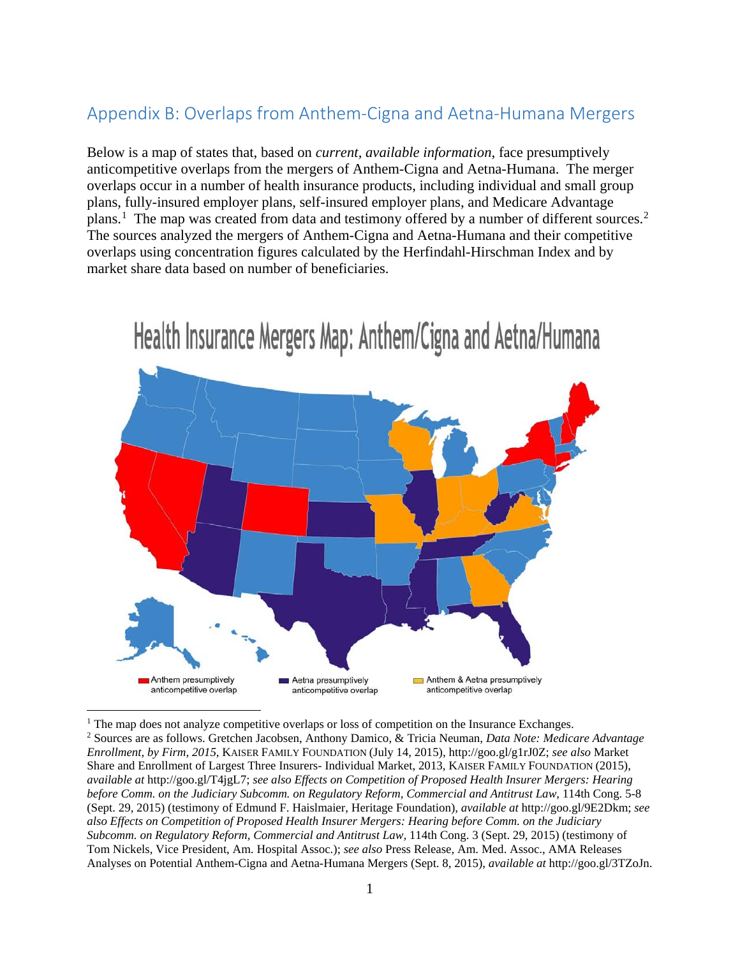# Appendix B: Overlaps from Anthem-Cigna and Aetna-Humana Mergers

Below is a map of states that, based on *current, available information*, face presumptively anticompetitive overlaps from the mergers of Anthem-Cigna and Aetna-Humana. The merger overlaps occur in a number of health insurance products, including individual and small group plans, fully-insured employer plans, self-insured employer plans, and Medicare Advantage plans.<sup>[1](#page-23-0)</sup> The map was created from data and testimony offered by a number of different sources.<sup>[2](#page-23-1)</sup> The sources analyzed the mergers of Anthem-Cigna and Aetna-Humana and their competitive overlaps using concentration figures calculated by the Herfindahl-Hirschman Index and by market share data based on number of beneficiaries.



# Health Insurance Mergers Map: Anthem/Cigna and Aetna/Humana

<span id="page-23-1"></span><span id="page-23-0"></span><sup>1</sup> The map does not analyze competitive overlaps or loss of competition on the Insurance Exchanges. 2 Sources are as follows. Gretchen Jacobsen, Anthony Damico, & Tricia Neuman, *Data Note: Medicare Advantage Enrollment, by Firm, 2015*, KAISER FAMILY FOUNDATION (July 14, 2015), http://goo.gl/g1rJ0Z; *see also* Market Share and Enrollment of Largest Three Insurers- Individual Market, 2013, KAISER FAMILY FOUNDATION (2015), *available at* http://goo.gl/T4jgL7; *see also Effects on Competition of Proposed Health Insurer Mergers: Hearing before Comm. on the Judiciary Subcomm. on Regulatory Reform, Commercial and Antitrust Law*, 114th Cong. 5-8 (Sept. 29, 2015) (testimony of Edmund F. Haislmaier, Heritage Foundation), *available at* http://goo.gl/9E2Dkm; *see also Effects on Competition of Proposed Health Insurer Mergers: Hearing before Comm. on the Judiciary Subcomm. on Regulatory Reform, Commercial and Antitrust Law,* 114th Cong. 3 (Sept. 29, 2015) (testimony of Tom Nickels, Vice President, Am. Hospital Assoc.); *see also* Press Release, Am. Med. Assoc., AMA Releases Analyses on Potential Anthem-Cigna and Aetna-Humana Mergers (Sept. 8, 2015), *available at* http://goo.gl/3TZoJn.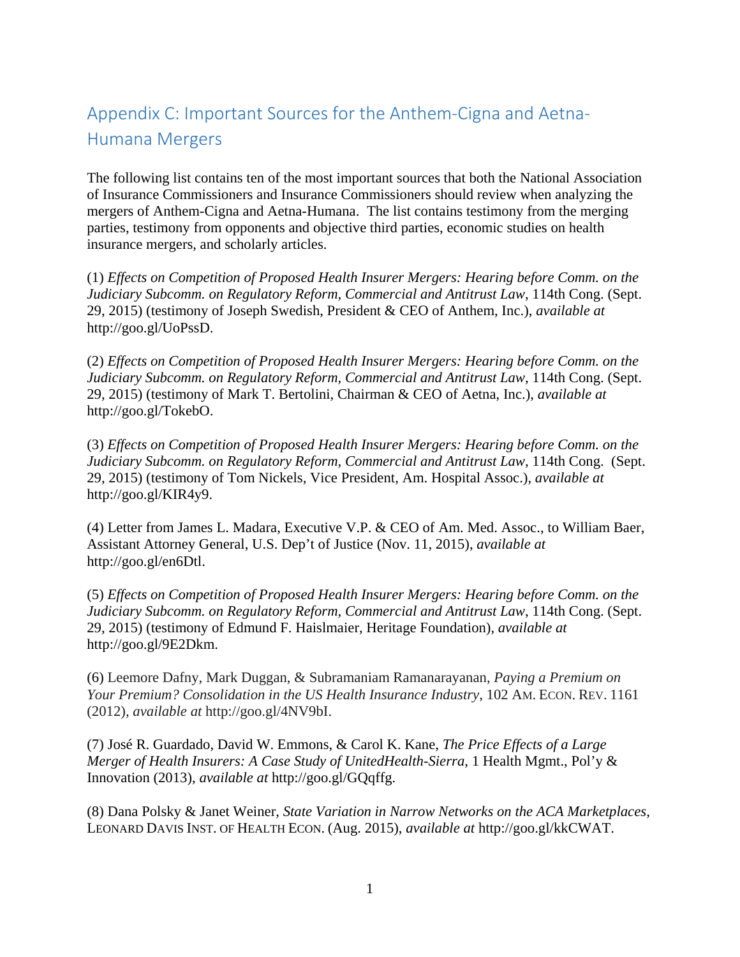# Appendix C: Important Sources for the Anthem-Cigna and Aetna-Humana Mergers

The following list contains ten of the most important sources that both the National Association of Insurance Commissioners and Insurance Commissioners should review when analyzing the mergers of Anthem-Cigna and Aetna-Humana. The list contains testimony from the merging parties, testimony from opponents and objective third parties, economic studies on health insurance mergers, and scholarly articles.

(1) *Effects on Competition of Proposed Health Insurer Mergers: Hearing before Comm. on the Judiciary Subcomm. on Regulatory Reform, Commercial and Antitrust Law*, 114th Cong. (Sept. 29, 2015) (testimony of Joseph Swedish, President & CEO of Anthem, Inc.), *available at* http://goo.gl/UoPssD.

(2) *Effects on Competition of Proposed Health Insurer Mergers: Hearing before Comm. on the Judiciary Subcomm. on Regulatory Reform, Commercial and Antitrust Law*, 114th Cong. (Sept. 29, 2015) (testimony of Mark T. Bertolini, Chairman & CEO of Aetna, Inc.), *available at*  http://goo.gl/TokebO.

(3) *Effects on Competition of Proposed Health Insurer Mergers: Hearing before Comm. on the Judiciary Subcomm. on Regulatory Reform, Commercial and Antitrust Law,* 114th Cong. (Sept. 29, 2015) (testimony of Tom Nickels, Vice President, Am. Hospital Assoc.), *available at* http://goo.gl/KIR4y9.

(4) Letter from James L. Madara, Executive V.P. & CEO of Am. Med. Assoc., to William Baer, Assistant Attorney General, U.S. Dep't of Justice (Nov. 11, 2015), *available at*  http://goo.gl/en6Dtl.

(5) *Effects on Competition of Proposed Health Insurer Mergers: Hearing before Comm. on the Judiciary Subcomm. on Regulatory Reform, Commercial and Antitrust Law*, 114th Cong. (Sept. 29, 2015) (testimony of Edmund F. Haislmaier, Heritage Foundation), *available at* http://goo.gl/9E2Dkm.

(6) Leemore Dafny, Mark Duggan, & Subramaniam Ramanarayanan, *Paying a Premium on Your Premium? Consolidation in the US Health Insurance Industry*, 102 AM. ECON. REV. 1161 (2012), *available at* http://goo.gl/4NV9bI.

(7) José R. Guardado, David W. Emmons, & Carol K. Kane, *The Price Effects of a Large Merger of Health Insurers: A Case Study of UnitedHealth-Sierra*, 1 Health Mgmt., Pol'y & Innovation (2013), *available at* http://goo.gl/GQqffg.

(8) Dana Polsky & Janet Weiner, *State Variation in Narrow Networks on the ACA Marketplaces*, LEONARD DAVIS INST. OF HEALTH ECON. (Aug. 2015), *available at* http://goo.gl/kkCWAT.